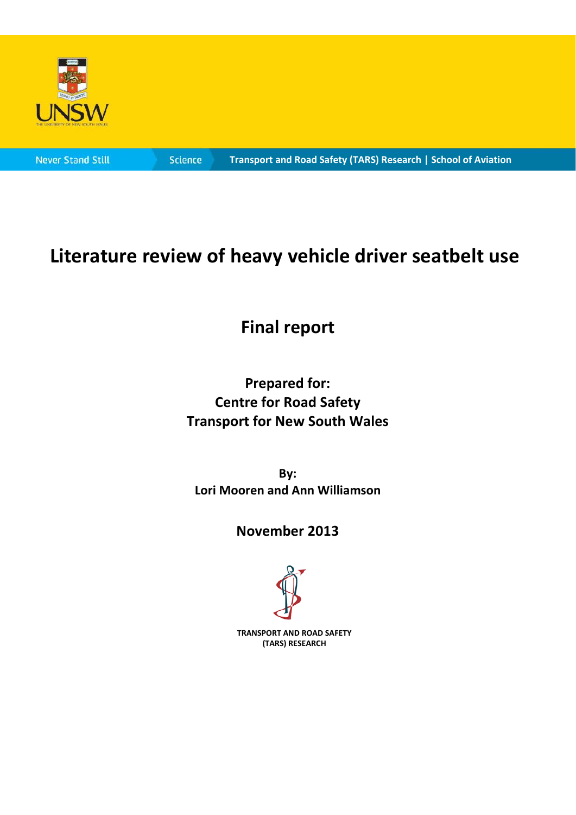

**Science** 

#### **Transport and Road Safety (TARS) Research | School of Aviation**

# **Literature review of heavy vehicle driver seatbelt use**

# **Final report**

## **Prepared for: Centre for Road Safety Transport for New South Wales**

**By: Lori Mooren and Ann Williamson**

## **November 2013**



**TRANSPORT AND ROAD SAFETY (TARS) RESEARCH**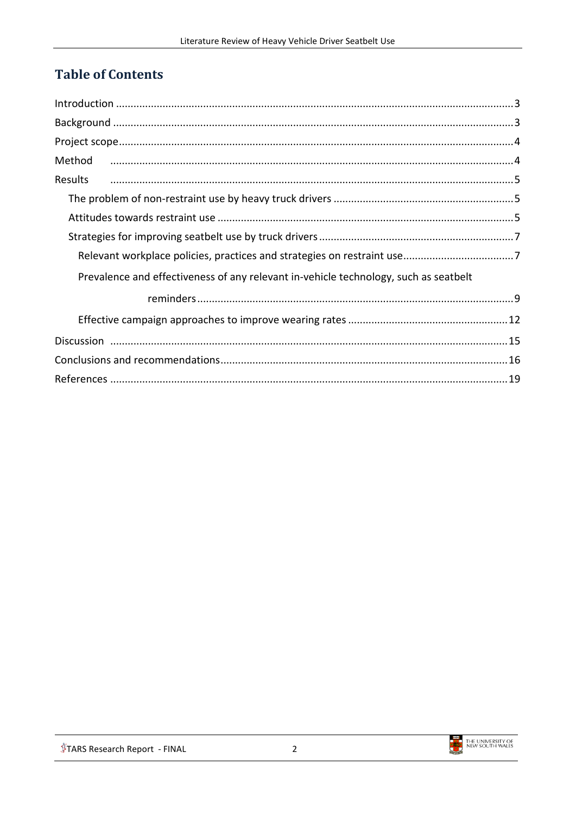## **Table of Contents**

| Method                                                                               |
|--------------------------------------------------------------------------------------|
| Results                                                                              |
|                                                                                      |
|                                                                                      |
|                                                                                      |
|                                                                                      |
| Prevalence and effectiveness of any relevant in-vehicle technology, such as seatbelt |
|                                                                                      |
|                                                                                      |
|                                                                                      |
|                                                                                      |
|                                                                                      |

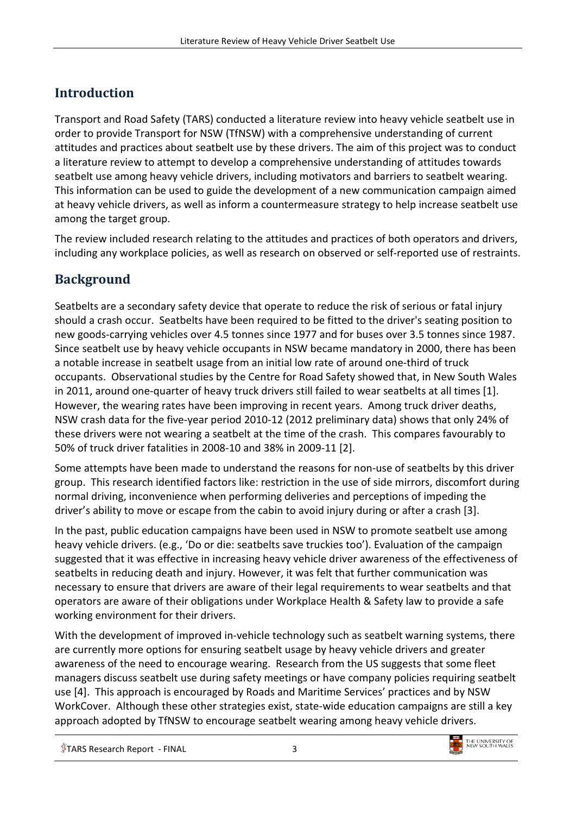## <span id="page-2-0"></span>**Introduction**

Transport and Road Safety (TARS) conducted a literature review into heavy vehicle seatbelt use in order to provide Transport for NSW (TfNSW) with a comprehensive understanding of current attitudes and practices about seatbelt use by these drivers. The aim of this project was to conduct a literature review to attempt to develop a comprehensive understanding of attitudes towards seatbelt use among heavy vehicle drivers, including motivators and barriers to seatbelt wearing. This information can be used to guide the development of a new communication campaign aimed at heavy vehicle drivers, as well as inform a countermeasure strategy to help increase seatbelt use among the target group.

The review included research relating to the attitudes and practices of both operators and drivers, including any workplace policies, as well as research on observed or self-reported use of restraints.

## <span id="page-2-1"></span>**Background**

Seatbelts are a secondary safety device that operate to reduce the risk of serious or fatal injury should a crash occur. Seatbelts have been required to be fitted to the driver's seating position to new goods-carrying vehicles over 4.5 tonnes since 1977 and for buses over 3.5 tonnes since 1987. Since seatbelt use by heavy vehicle occupants in NSW became mandatory in 2000, there has been a notable increase in seatbelt usage from an initial low rate of around one-third of truck occupants. Observational studies by the Centre for Road Safety showed that, in New South Wales in 2011, around one-quarter of heavy truck drivers still failed to wear seatbelts at all times [\[1\]](#page-18-1). However, the wearing rates have been improving in recent years. Among truck driver deaths, NSW crash data for the five-year period 2010-12 (2012 preliminary data) shows that only 24% of these drivers were not wearing a seatbelt at the time of the crash. This compares favourably to 50% of truck driver fatalities in 2008-10 and 38% in 2009-11 [\[2\]](#page-18-2).

Some attempts have been made to understand the reasons for non-use of seatbelts by this driver group. This research identified factors like: restriction in the use of side mirrors, discomfort during normal driving, inconvenience when performing deliveries and perceptions of impeding the driver's ability to move or escape from the cabin to avoid injury during or after a crash [\[3\]](#page-18-3).

In the past, public education campaigns have been used in NSW to promote seatbelt use among heavy vehicle drivers. (e.g., 'Do or die: seatbelts save truckies too'). Evaluation of the campaign suggested that it was effective in increasing heavy vehicle driver awareness of the effectiveness of seatbelts in reducing death and injury. However, it was felt that further communication was necessary to ensure that drivers are aware of their legal requirements to wear seatbelts and that operators are aware of their obligations under Workplace Health & Safety law to provide a safe working environment for their drivers.

With the development of improved in-vehicle technology such as seatbelt warning systems, there are currently more options for ensuring seatbelt usage by heavy vehicle drivers and greater awareness of the need to encourage wearing. Research from the US suggests that some fleet managers discuss seatbelt use during safety meetings or have company policies requiring seatbelt use [\[4\]](#page-18-4). This approach is encouraged by Roads and Maritime Services' practices and by NSW WorkCover. Although these other strategies exist, state-wide education campaigns are still a key approach adopted by TfNSW to encourage seatbelt wearing among heavy vehicle drivers.

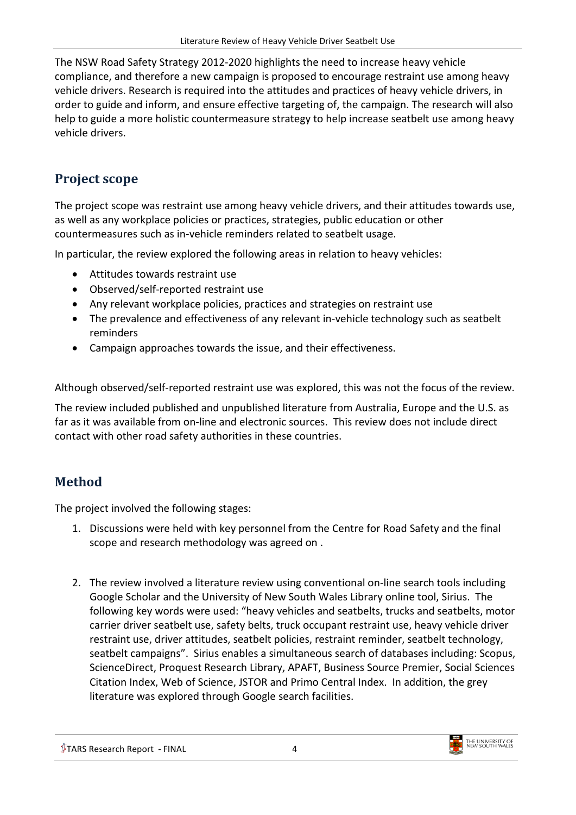The NSW Road Safety Strategy 2012-2020 highlights the need to increase heavy vehicle compliance, and therefore a new campaign is proposed to encourage restraint use among heavy vehicle drivers. Research is required into the attitudes and practices of heavy vehicle drivers, in order to guide and inform, and ensure effective targeting of, the campaign. The research will also help to guide a more holistic countermeasure strategy to help increase seatbelt use among heavy vehicle drivers.

## <span id="page-3-0"></span>**Project scope**

The project scope was restraint use among heavy vehicle drivers, and their attitudes towards use, as well as any workplace policies or practices, strategies, public education or other countermeasures such as in-vehicle reminders related to seatbelt usage.

In particular, the review explored the following areas in relation to heavy vehicles:

- Attitudes towards restraint use
- Observed/self-reported restraint use
- Any relevant workplace policies, practices and strategies on restraint use
- The prevalence and effectiveness of any relevant in-vehicle technology such as seatbelt reminders
- Campaign approaches towards the issue, and their effectiveness.

Although observed/self-reported restraint use was explored, this was not the focus of the review.

The review included published and unpublished literature from Australia, Europe and the U.S. as far as it was available from on-line and electronic sources. This review does not include direct contact with other road safety authorities in these countries.

## <span id="page-3-1"></span>**Method**

The project involved the following stages:

- 1. Discussions were held with key personnel from the Centre for Road Safety and the final scope and research methodology was agreed on .
- 2. The review involved a literature review using conventional on-line search tools including Google Scholar and the University of New South Wales Library online tool, Sirius. The following key words were used: "heavy vehicles and seatbelts, trucks and seatbelts, motor carrier driver seatbelt use, safety belts, truck occupant restraint use, heavy vehicle driver restraint use, driver attitudes, seatbelt policies, restraint reminder, seatbelt technology, seatbelt campaigns". Sirius enables a simultaneous search of databases including: Scopus, ScienceDirect, Proquest Research Library, APAFT, Business Source Premier, Social Sciences Citation Index, Web of Science, JSTOR and Primo Central Index. In addition, the grey literature was explored through Google search facilities.

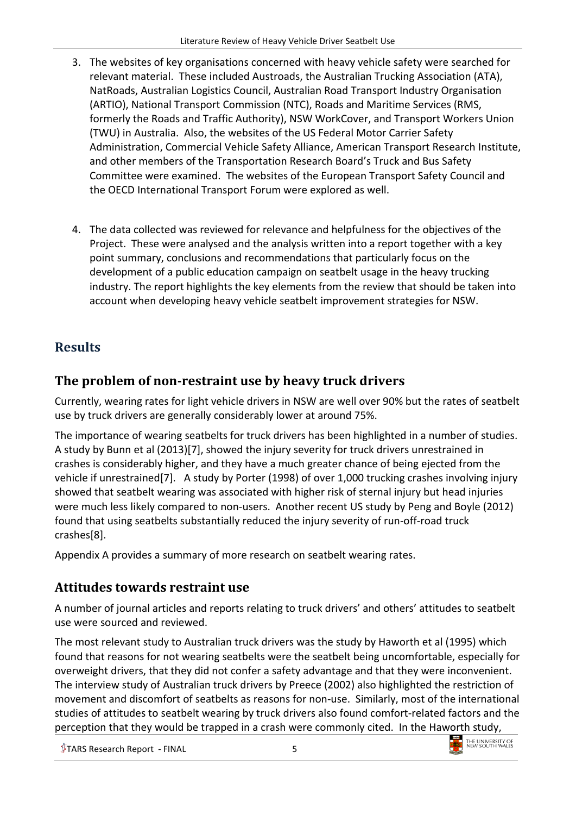- 3. The websites of key organisations concerned with heavy vehicle safety were searched for relevant material. These included Austroads, the Australian Trucking Association (ATA), NatRoads, Australian Logistics Council, Australian Road Transport Industry Organisation (ARTIO), National Transport Commission (NTC), Roads and Maritime Services (RMS, formerly the Roads and Traffic Authority), NSW WorkCover, and Transport Workers Union (TWU) in Australia. Also, the websites of the US Federal Motor Carrier Safety Administration, Commercial Vehicle Safety Alliance, American Transport Research Institute, and other members of the Transportation Research Board's Truck and Bus Safety Committee were examined. The websites of the European Transport Safety Council and the OECD International Transport Forum were explored as well.
- 4. The data collected was reviewed for relevance and helpfulness for the objectives of the Project. These were analysed and the analysis written into a report together with a key point summary, conclusions and recommendations that particularly focus on the development of a public education campaign on seatbelt usage in the heavy trucking industry. The report highlights the key elements from the review that should be taken into account when developing heavy vehicle seatbelt improvement strategies for NSW.

## <span id="page-4-0"></span>**Results**

## <span id="page-4-1"></span>**The problem of non-restraint use by heavy truck drivers**

Currently, wearing rates for light vehicle drivers in NSW are well over 90% but the rates of seatbelt use by truck drivers are generally considerably lower at around 75%.

The importance of wearing seatbelts for truck drivers has been highlighted in a number of studies. A study by Bunn et al (2013)[\[7\]](#page-18-5), showed the injury severity for truck drivers unrestrained in crashes is considerably higher, and they have a much greater chance of being ejected from the vehicle if unrestrained[\[7\]](#page-18-5). A study by Porter (1998) of over 1,000 trucking crashes involving injury showed that seatbelt wearing was associated with higher risk of sternal injury but head injuries were much less likely compared to non-users. Another recent US study by Peng and Boyle (2012) found that using seatbelts substantially reduced the injury severity of run-off-road truck crashes[\[8\]](#page-18-6).

Appendix A provides a summary of more research on seatbelt wearing rates.

## <span id="page-4-2"></span>**Attitudes towards restraint use**

A number of journal articles and reports relating to truck drivers' and others' attitudes to seatbelt use were sourced and reviewed.

The most relevant study to Australian truck drivers was the study by Haworth et al (1995) which found that reasons for not wearing seatbelts were the seatbelt being uncomfortable, especially for overweight drivers, that they did not confer a safety advantage and that they were inconvenient. The interview study of Australian truck drivers by Preece (2002) also highlighted the restriction of movement and discomfort of seatbelts as reasons for non-use. Similarly, most of the international studies of attitudes to seatbelt wearing by truck drivers also found comfort-related factors and the perception that they would be trapped in a crash were commonly cited. In the Haworth study,

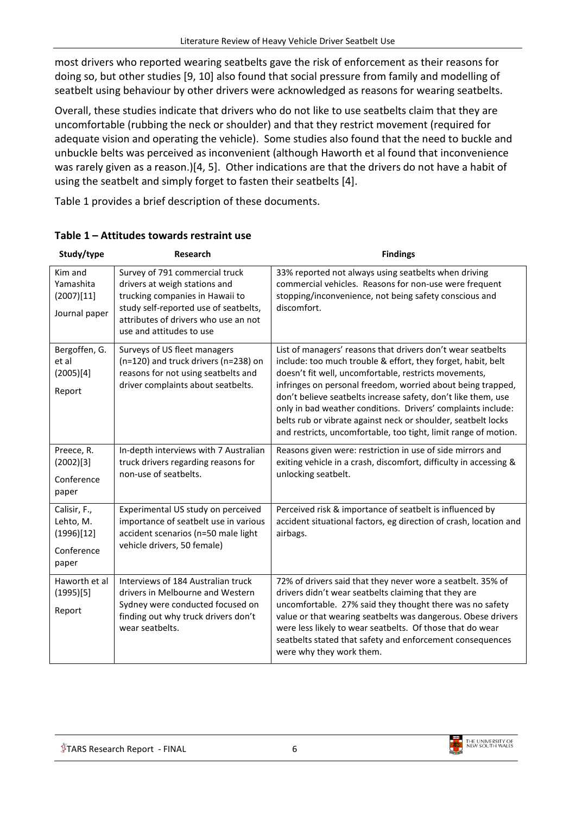most drivers who reported wearing seatbelts gave the risk of enforcement as their reasons for doing so, but other studies [\[9,](#page-18-7) [10\]](#page-18-8) also found that social pressure from family and modelling of seatbelt using behaviour by other drivers were acknowledged as reasons for wearing seatbelts.

Overall, these studies indicate that drivers who do not like to use seatbelts claim that they are uncomfortable (rubbing the neck or shoulder) and that they restrict movement (required for adequate vision and operating the vehicle). Some studies also found that the need to buckle and unbuckle belts was perceived as inconvenient (although Haworth et al found that inconvenience was rarely given as a reason.)[\[4,](#page-18-4) [5\]](#page-18-9). Other indications are that the drivers do not have a habit of using the seatbelt and simply forget to fasten their seatbelts [\[4\]](#page-18-4).

Table 1 provides a brief description of these documents.

| Study/type                                                     | <b>Research</b>                                                                                                                                                                                                 | <b>Findings</b>                                                                                                                                                                                                                                                                                                                                                                                                                                                                                                          |
|----------------------------------------------------------------|-----------------------------------------------------------------------------------------------------------------------------------------------------------------------------------------------------------------|--------------------------------------------------------------------------------------------------------------------------------------------------------------------------------------------------------------------------------------------------------------------------------------------------------------------------------------------------------------------------------------------------------------------------------------------------------------------------------------------------------------------------|
| Kim and<br>Yamashita<br>(2007)[11]<br>Journal paper            | Survey of 791 commercial truck<br>drivers at weigh stations and<br>trucking companies in Hawaii to<br>study self-reported use of seatbelts,<br>attributes of drivers who use an not<br>use and attitudes to use | 33% reported not always using seatbelts when driving<br>commercial vehicles. Reasons for non-use were frequent<br>stopping/inconvenience, not being safety conscious and<br>discomfort.                                                                                                                                                                                                                                                                                                                                  |
| Bergoffen, G.<br>et al<br>(2005)[4]<br>Report                  | Surveys of US fleet managers<br>(n=120) and truck drivers (n=238) on<br>reasons for not using seatbelts and<br>driver complaints about seatbelts.                                                               | List of managers' reasons that drivers don't wear seatbelts<br>include: too much trouble & effort, they forget, habit, belt<br>doesn't fit well, uncomfortable, restricts movements,<br>infringes on personal freedom, worried about being trapped,<br>don't believe seatbelts increase safety, don't like them, use<br>only in bad weather conditions. Drivers' complaints include:<br>belts rub or vibrate against neck or shoulder, seatbelt locks<br>and restricts, uncomfortable, too tight, limit range of motion. |
| Preece, R.<br>(2002)[3]<br>Conference<br>paper                 | In-depth interviews with 7 Australian<br>truck drivers regarding reasons for<br>non-use of seatbelts.                                                                                                           | Reasons given were: restriction in use of side mirrors and<br>exiting vehicle in a crash, discomfort, difficulty in accessing &<br>unlocking seatbelt.                                                                                                                                                                                                                                                                                                                                                                   |
| Calisir, F.,<br>Lehto, M.<br>(1996)[12]<br>Conference<br>paper | Experimental US study on perceived<br>importance of seatbelt use in various<br>accident scenarios (n=50 male light<br>vehicle drivers, 50 female)                                                               | Perceived risk & importance of seatbelt is influenced by<br>accident situational factors, eg direction of crash, location and<br>airbags.                                                                                                                                                                                                                                                                                                                                                                                |
| Haworth et al<br>(1995)[5]<br>Report                           | Interviews of 184 Australian truck<br>drivers in Melbourne and Western<br>Sydney were conducted focused on<br>finding out why truck drivers don't<br>wear seatbelts.                                            | 72% of drivers said that they never wore a seatbelt. 35% of<br>drivers didn't wear seatbelts claiming that they are<br>uncomfortable. 27% said they thought there was no safety<br>value or that wearing seatbelts was dangerous. Obese drivers<br>were less likely to wear seatbelts. Of those that do wear<br>seatbelts stated that safety and enforcement consequences<br>were why they work them.                                                                                                                    |

#### **Table 1 – Attitudes towards restraint use**

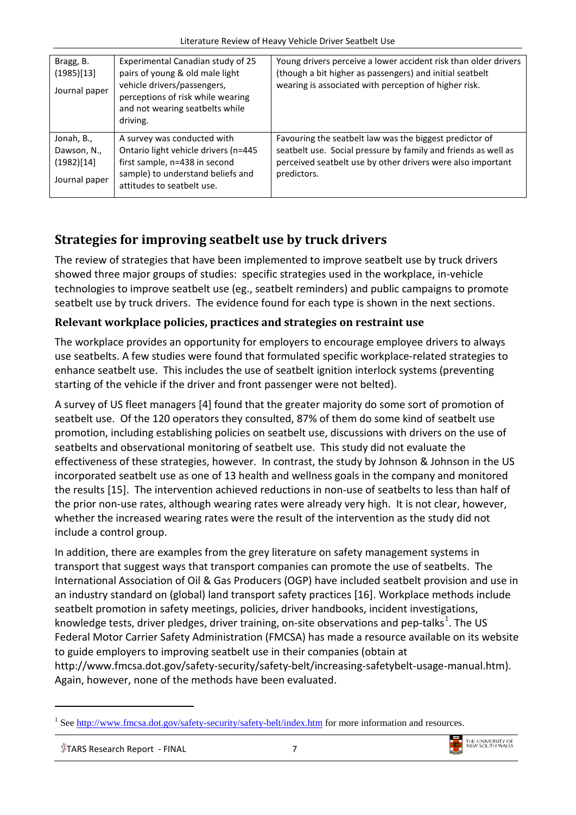| Bragg, B.<br>(1985)[13]<br>Journal paper                 | Experimental Canadian study of 25<br>pairs of young & old male light<br>vehicle drivers/passengers,<br>perceptions of risk while wearing<br>and not wearing seatbelts while<br>driving. | Young drivers perceive a lower accident risk than older drivers<br>(though a bit higher as passengers) and initial seatbelt<br>wearing is associated with perception of higher risk.                    |
|----------------------------------------------------------|-----------------------------------------------------------------------------------------------------------------------------------------------------------------------------------------|---------------------------------------------------------------------------------------------------------------------------------------------------------------------------------------------------------|
| Jonah, B.,<br>Dawson, N.,<br>(1982)[14]<br>Journal paper | A survey was conducted with<br>Ontario light vehicle drivers (n=445<br>first sample, n=438 in second<br>sample) to understand beliefs and<br>attitudes to seatbelt use.                 | Favouring the seatbelt law was the biggest predictor of<br>seatbelt use. Social pressure by family and friends as well as<br>perceived seatbelt use by other drivers were also important<br>predictors. |

## <span id="page-6-0"></span>**Strategies for improving seatbelt use by truck drivers**

The review of strategies that have been implemented to improve seatbelt use by truck drivers showed three major groups of studies: specific strategies used in the workplace, in-vehicle technologies to improve seatbelt use (eg., seatbelt reminders) and public campaigns to promote seatbelt use by truck drivers. The evidence found for each type is shown in the next sections.

### <span id="page-6-1"></span>**Relevant workplace policies, practices and strategies on restraint use**

The workplace provides an opportunity for employers to encourage employee drivers to always use seatbelts. A few studies were found that formulated specific workplace-related strategies to enhance seatbelt use. This includes the use of seatbelt ignition interlock systems (preventing starting of the vehicle if the driver and front passenger were not belted).

A survey of US fleet managers [\[4\]](#page-18-4) found that the greater majority do some sort of promotion of seatbelt use. Of the 120 operators they consulted, 87% of them do some kind of seatbelt use promotion, including establishing policies on seatbelt use, discussions with drivers on the use of seatbelts and observational monitoring of seatbelt use. This study did not evaluate the effectiveness of these strategies, however. In contrast, the study by Johnson & Johnson in the US incorporated seatbelt use as one of 13 health and wellness goals in the company and monitored the results [\[15\]](#page-18-14). The intervention achieved reductions in non-use of seatbelts to less than half of the prior non-use rates, although wearing rates were already very high. It is not clear, however, whether the increased wearing rates were the result of the intervention as the study did not include a control group.

In addition, there are examples from the grey literature on safety management systems in transport that suggest ways that transport companies can promote the use of seatbelts. The International Association of Oil & Gas Producers (OGP) have included seatbelt provision and use in an industry standard on (global) land transport safety practices [\[16\]](#page-18-15). Workplace methods include seatbelt promotion in safety meetings, policies, driver handbooks, incident investigations, knowledge tests, driver pledges, driver training, on-site observations and pep-talks<sup>[1](#page-6-2)</sup>. The US Federal Motor Carrier Safety Administration (FMCSA) has made a resource available on its website to guide employers to improving seatbelt use in their companies (obtain at http://www.fmcsa.dot.gov/safety-security/safety-belt/increasing-safetybelt-usage-manual.htm). Again, however, none of the methods have been evaluated.

-



<span id="page-6-2"></span><sup>&</sup>lt;sup>1</sup> See<http://www.fmcsa.dot.gov/safety-security/safety-belt/index.htm> for more information and resources.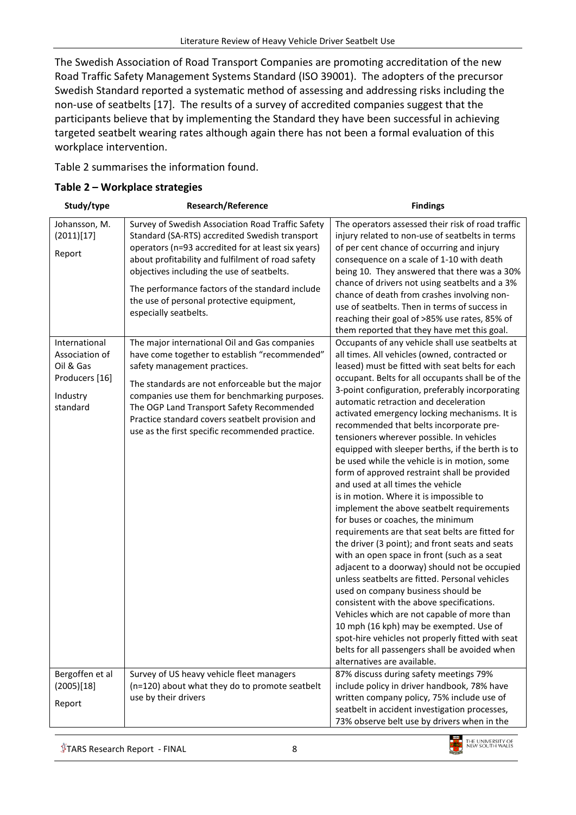The Swedish Association of Road Transport Companies are promoting accreditation of the new Road Traffic Safety Management Systems Standard (ISO 39001). The adopters of the precursor Swedish Standard reported a systematic method of assessing and addressing risks including the non-use of seatbelts [\[17\]](#page-18-16). The results of a survey of accredited companies suggest that the participants believe that by implementing the Standard they have been successful in achieving targeted seatbelt wearing rates although again there has not been a formal evaluation of this workplace intervention.

Table 2 summarises the information found.

#### **Table 2 – Workplace strategies**

| Study/type                                                                                                                      |                                                                                                                                                                                                                                                                                                                                                                                                                                                                                                                                                                                                                                                                                                                                                                                                             | <b>Findings</b>                                                                                                                                                                                                                                                                                                                                                                                                                                                                                                                                                                                                                                                                                                                                                                                                                                                                                                                                                                                                                                                                                                                                                                                                                     |
|---------------------------------------------------------------------------------------------------------------------------------|-------------------------------------------------------------------------------------------------------------------------------------------------------------------------------------------------------------------------------------------------------------------------------------------------------------------------------------------------------------------------------------------------------------------------------------------------------------------------------------------------------------------------------------------------------------------------------------------------------------------------------------------------------------------------------------------------------------------------------------------------------------------------------------------------------------|-------------------------------------------------------------------------------------------------------------------------------------------------------------------------------------------------------------------------------------------------------------------------------------------------------------------------------------------------------------------------------------------------------------------------------------------------------------------------------------------------------------------------------------------------------------------------------------------------------------------------------------------------------------------------------------------------------------------------------------------------------------------------------------------------------------------------------------------------------------------------------------------------------------------------------------------------------------------------------------------------------------------------------------------------------------------------------------------------------------------------------------------------------------------------------------------------------------------------------------|
| Johansson, M.<br>(2011)[17]<br>Report<br>International<br>Association of<br>Oil & Gas<br>Producers [16]<br>Industry<br>standard | <b>Research/Reference</b><br>Survey of Swedish Association Road Traffic Safety<br>Standard (SA-RTS) accredited Swedish transport<br>operators (n=93 accredited for at least six years)<br>about profitability and fulfilment of road safety<br>objectives including the use of seatbelts.<br>The performance factors of the standard include<br>the use of personal protective equipment,<br>especially seatbelts.<br>The major international Oil and Gas companies<br>have come together to establish "recommended"<br>safety management practices.<br>The standards are not enforceable but the major<br>companies use them for benchmarking purposes.<br>The OGP Land Transport Safety Recommended<br>Practice standard covers seatbelt provision and<br>use as the first specific recommended practice. | The operators assessed their risk of road traffic<br>injury related to non-use of seatbelts in terms<br>of per cent chance of occurring and injury<br>consequence on a scale of 1-10 with death<br>being 10. They answered that there was a 30%<br>chance of drivers not using seatbelts and a 3%<br>chance of death from crashes involving non-<br>use of seatbelts. Then in terms of success in<br>reaching their goal of >85% use rates, 85% of<br>them reported that they have met this goal.<br>Occupants of any vehicle shall use seatbelts at<br>all times. All vehicles (owned, contracted or<br>leased) must be fitted with seat belts for each<br>occupant. Belts for all occupants shall be of the<br>3-point configuration, preferably incorporating<br>automatic retraction and deceleration<br>activated emergency locking mechanisms. It is<br>recommended that belts incorporate pre-<br>tensioners wherever possible. In vehicles<br>equipped with sleeper berths, if the berth is to<br>be used while the vehicle is in motion, some<br>form of approved restraint shall be provided<br>and used at all times the vehicle<br>is in motion. Where it is impossible to<br>implement the above seatbelt requirements |
|                                                                                                                                 |                                                                                                                                                                                                                                                                                                                                                                                                                                                                                                                                                                                                                                                                                                                                                                                                             | for buses or coaches, the minimum<br>requirements are that seat belts are fitted for<br>the driver (3 point); and front seats and seats<br>with an open space in front (such as a seat<br>adjacent to a doorway) should not be occupied<br>unless seatbelts are fitted. Personal vehicles<br>used on company business should be<br>consistent with the above specifications.<br>Vehicles which are not capable of more than<br>10 mph (16 kph) may be exempted. Use of<br>spot-hire vehicles not properly fitted with seat<br>belts for all passengers shall be avoided when<br>alternatives are available.                                                                                                                                                                                                                                                                                                                                                                                                                                                                                                                                                                                                                         |
| Bergoffen et al<br>(2005)[18]<br>Report                                                                                         | Survey of US heavy vehicle fleet managers<br>(n=120) about what they do to promote seatbelt<br>use by their drivers                                                                                                                                                                                                                                                                                                                                                                                                                                                                                                                                                                                                                                                                                         | 87% discuss during safety meetings 79%<br>include policy in driver handbook, 78% have<br>written company policy, 75% include use of<br>seatbelt in accident investigation processes,<br>73% observe belt use by drivers when in the                                                                                                                                                                                                                                                                                                                                                                                                                                                                                                                                                                                                                                                                                                                                                                                                                                                                                                                                                                                                 |
|                                                                                                                                 |                                                                                                                                                                                                                                                                                                                                                                                                                                                                                                                                                                                                                                                                                                                                                                                                             |                                                                                                                                                                                                                                                                                                                                                                                                                                                                                                                                                                                                                                                                                                                                                                                                                                                                                                                                                                                                                                                                                                                                                                                                                                     |

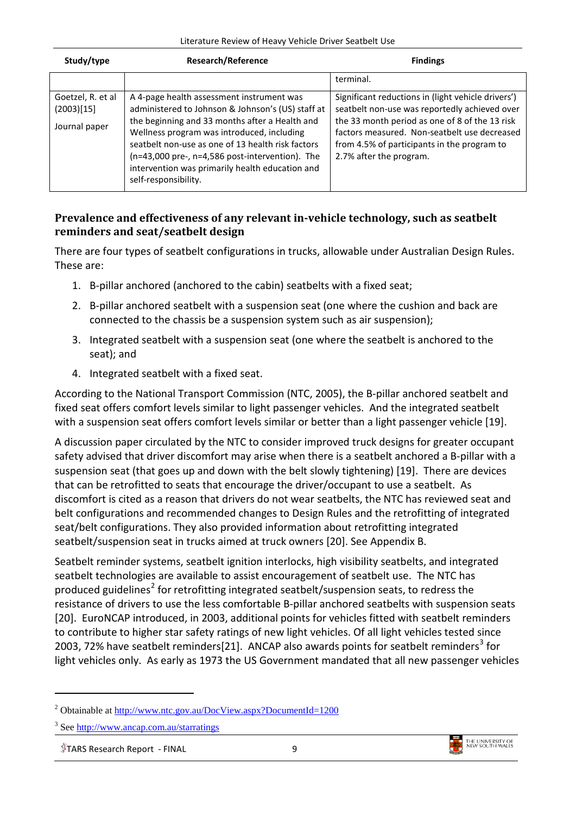| Study/type                                       | <b>Research/Reference</b>                                                                                                                                                                                                                                                                                                                                                         | <b>Findings</b>                                                                                                                                                                                                                                                                 |
|--------------------------------------------------|-----------------------------------------------------------------------------------------------------------------------------------------------------------------------------------------------------------------------------------------------------------------------------------------------------------------------------------------------------------------------------------|---------------------------------------------------------------------------------------------------------------------------------------------------------------------------------------------------------------------------------------------------------------------------------|
|                                                  |                                                                                                                                                                                                                                                                                                                                                                                   | terminal.                                                                                                                                                                                                                                                                       |
| Goetzel, R. et al<br>(2003)[15]<br>Journal paper | A 4-page health assessment instrument was<br>administered to Johnson & Johnson's (US) staff at<br>the beginning and 33 months after a Health and<br>Wellness program was introduced, including<br>seatbelt non-use as one of 13 health risk factors<br>(n=43,000 pre-, n=4,586 post-intervention). The<br>intervention was primarily health education and<br>self-responsibility. | Significant reductions in (light vehicle drivers')<br>seatbelt non-use was reportedly achieved over<br>the 33 month period as one of 8 of the 13 risk<br>factors measured. Non-seatbelt use decreased<br>from 4.5% of participants in the program to<br>2.7% after the program. |

#### <span id="page-8-0"></span>**Prevalence and effectiveness of any relevant in-vehicle technology, such as seatbelt reminders and seat/seatbelt design**

There are four types of seatbelt configurations in trucks, allowable under Australian Design Rules. These are:

- 1. B-pillar anchored (anchored to the cabin) seatbelts with a fixed seat;
- 2. B-pillar anchored seatbelt with a suspension seat (one where the cushion and back are connected to the chassis be a suspension system such as air suspension);
- 3. Integrated seatbelt with a suspension seat (one where the seatbelt is anchored to the seat); and
- 4. Integrated seatbelt with a fixed seat.

According to the National Transport Commission (NTC, 2005), the B-pillar anchored seatbelt and fixed seat offers comfort levels similar to light passenger vehicles. And the integrated seatbelt with a suspension seat offers comfort levels similar or better than a light passenger vehicle [\[19\]](#page-18-18).

A discussion paper circulated by the NTC to consider improved truck designs for greater occupant safety advised that driver discomfort may arise when there is a seatbelt anchored a B-pillar with a suspension seat (that goes up and down with the belt slowly tightening) [\[19\]](#page-18-18). There are devices that can be retrofitted to seats that encourage the driver/occupant to use a seatbelt. As discomfort is cited as a reason that drivers do not wear seatbelts, the NTC has reviewed seat and belt configurations and recommended changes to Design Rules and the retrofitting of integrated seat/belt configurations. They also provided information about retrofitting integrated seatbelt/suspension seat in trucks aimed at truck owners [\[20\]](#page-18-19). See Appendix B.

Seatbelt reminder systems, seatbelt ignition interlocks, high visibility seatbelts, and integrated seatbelt technologies are available to assist encouragement of seatbelt use. The NTC has produced guidelines<sup>[2](#page-8-1)</sup> for retrofitting integrated seatbelt/suspension seats, to redress the resistance of drivers to use the less comfortable B-pillar anchored seatbelts with suspension seats [\[20\]](#page-18-19). EuroNCAP introduced, in 2003, additional points for vehicles fitted with seatbelt reminders to contribute to higher star safety ratings of new light vehicles. Of all light vehicles tested since 2003, 72% have seatbelt reminders[\[21\]](#page-18-20). ANCAP also awards points for seatbelt reminders<sup>[3](#page-8-2)</sup> for light vehicles only. As early as 1973 the US Government mandated that all new passenger vehicles

-



<span id="page-8-1"></span><sup>2</sup> Obtainable at<http://www.ntc.gov.au/DocView.aspx?DocumentId=1200>

<span id="page-8-2"></span><sup>3</sup> See<http://www.ancap.com.au/starratings>

 $\sqrt[6]{$  TARS Research Report - FINAL 9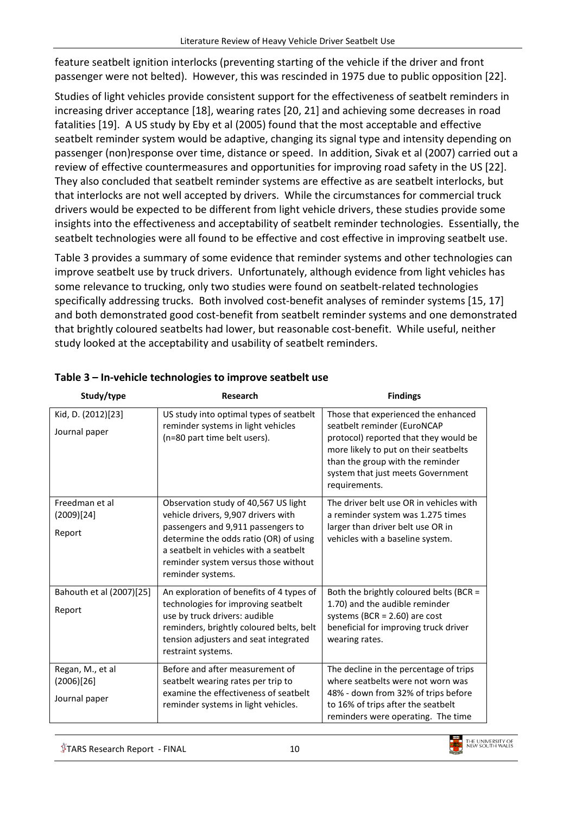feature seatbelt ignition interlocks (preventing starting of the vehicle if the driver and front passenger were not belted). However, this was rescinded in 1975 due to public opposition [\[22\]](#page-18-21).

Studies of light vehicles provide consistent support for the effectiveness of seatbelt reminders in increasing driver acceptance [18], wearing rates [20, 21] and achieving some decreases in road fatalities [19]. A US study by Eby et al (2005) found that the most acceptable and effective seatbelt reminder system would be adaptive, changing its signal type and intensity depending on passenger (non)response over time, distance or speed. In addition, Sivak et al (2007) carried out a review of effective countermeasures and opportunities for improving road safety in the US [\[22\]](#page-18-21). They also concluded that seatbelt reminder systems are effective as are seatbelt interlocks, but that interlocks are not well accepted by drivers. While the circumstances for commercial truck drivers would be expected to be different from light vehicle drivers, these studies provide some insights into the effectiveness and acceptability of seatbelt reminder technologies. Essentially, the seatbelt technologies were all found to be effective and cost effective in improving seatbelt use.

Table 3 provides a summary of some evidence that reminder systems and other technologies can improve seatbelt use by truck drivers. Unfortunately, although evidence from light vehicles has some relevance to trucking, only two studies were found on seatbelt-related technologies specifically addressing trucks. Both involved cost-benefit analyses of reminder systems [15, 17] and both demonstrated good cost-benefit from seatbelt reminder systems and one demonstrated that brightly coloured seatbelts had lower, but reasonable cost-benefit. While useful, neither study looked at the acceptability and usability of seatbelt reminders.

| Study/type                                      | Research                                                                                                                                                                                                                                                           | <b>Findings</b>                                                                                                                                                                                                                                |
|-------------------------------------------------|--------------------------------------------------------------------------------------------------------------------------------------------------------------------------------------------------------------------------------------------------------------------|------------------------------------------------------------------------------------------------------------------------------------------------------------------------------------------------------------------------------------------------|
| Kid, D. (2012)[23]<br>Journal paper             | US study into optimal types of seatbelt<br>reminder systems in light vehicles<br>(n=80 part time belt users).                                                                                                                                                      | Those that experienced the enhanced<br>seatbelt reminder (EuroNCAP<br>protocol) reported that they would be<br>more likely to put on their seatbelts<br>than the group with the reminder<br>system that just meets Government<br>requirements. |
| Freedman et al<br>(2009)[24]<br>Report          | Observation study of 40,567 US light<br>vehicle drivers, 9,907 drivers with<br>passengers and 9,911 passengers to<br>determine the odds ratio (OR) of using<br>a seatbelt in vehicles with a seatbelt<br>reminder system versus those without<br>reminder systems. | The driver belt use OR in vehicles with<br>a reminder system was 1.275 times<br>larger than driver belt use OR in<br>vehicles with a baseline system.                                                                                          |
| Bahouth et al (2007)[25]<br>Report              | An exploration of benefits of 4 types of<br>technologies for improving seatbelt<br>use by truck drivers: audible<br>reminders, brightly coloured belts, belt<br>tension adjusters and seat integrated<br>restraint systems.                                        | Both the brightly coloured belts (BCR =<br>1.70) and the audible reminder<br>systems (BCR = $2.60$ ) are cost<br>beneficial for improving truck driver<br>wearing rates.                                                                       |
| Regan, M., et al<br>(2006)[26]<br>Journal paper | Before and after measurement of<br>seatbelt wearing rates per trip to<br>examine the effectiveness of seatbelt<br>reminder systems in light vehicles.                                                                                                              | The decline in the percentage of trips<br>where seatbelts were not worn was<br>48% - down from 32% of trips before<br>to 16% of trips after the seatbelt<br>reminders were operating. The time                                                 |

#### **Table 3 – In-vehicle technologies to improve seatbelt use**

 $\sqrt[4]{}$ TARS Research Report - FINAL  $10$ 

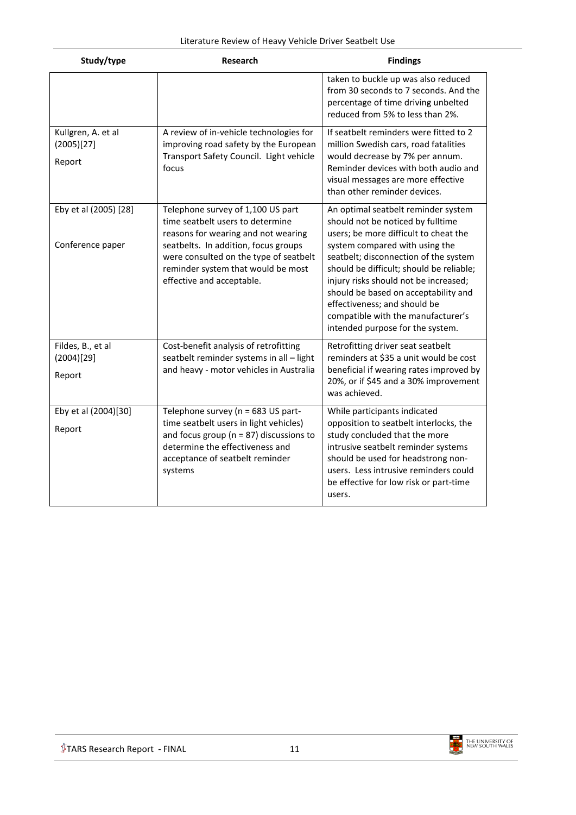| Study/type                                 | <b>Research</b>                                                                                                                                                                                                                                                   | <b>Findings</b>                                                                                                                                                                                                                                                                                                                                                                                                                     |
|--------------------------------------------|-------------------------------------------------------------------------------------------------------------------------------------------------------------------------------------------------------------------------------------------------------------------|-------------------------------------------------------------------------------------------------------------------------------------------------------------------------------------------------------------------------------------------------------------------------------------------------------------------------------------------------------------------------------------------------------------------------------------|
|                                            |                                                                                                                                                                                                                                                                   | taken to buckle up was also reduced<br>from 30 seconds to 7 seconds. And the<br>percentage of time driving unbelted<br>reduced from 5% to less than 2%.                                                                                                                                                                                                                                                                             |
| Kullgren, A. et al<br>(2005)[27]<br>Report | A review of in-vehicle technologies for<br>improving road safety by the European<br>Transport Safety Council. Light vehicle<br>focus                                                                                                                              | If seatbelt reminders were fitted to 2<br>million Swedish cars, road fatalities<br>would decrease by 7% per annum.<br>Reminder devices with both audio and<br>visual messages are more effective<br>than other reminder devices.                                                                                                                                                                                                    |
| Eby et al (2005) [28]<br>Conference paper  | Telephone survey of 1,100 US part<br>time seatbelt users to determine<br>reasons for wearing and not wearing<br>seatbelts. In addition, focus groups<br>were consulted on the type of seatbelt<br>reminder system that would be most<br>effective and acceptable. | An optimal seatbelt reminder system<br>should not be noticed by fulltime<br>users; be more difficult to cheat the<br>system compared with using the<br>seatbelt; disconnection of the system<br>should be difficult; should be reliable;<br>injury risks should not be increased;<br>should be based on acceptability and<br>effectiveness; and should be<br>compatible with the manufacturer's<br>intended purpose for the system. |
| Fildes, B., et al<br>(2004)[29]<br>Report  | Cost-benefit analysis of retrofitting<br>seatbelt reminder systems in all - light<br>and heavy - motor vehicles in Australia                                                                                                                                      | Retrofitting driver seat seatbelt<br>reminders at \$35 a unit would be cost<br>beneficial if wearing rates improved by<br>20%, or if \$45 and a 30% improvement<br>was achieved.                                                                                                                                                                                                                                                    |
| Eby et al (2004)[30]<br>Report             | Telephone survey (n = 683 US part-<br>time seatbelt users in light vehicles)<br>and focus group ( $n = 87$ ) discussions to<br>determine the effectiveness and<br>acceptance of seatbelt reminder<br>systems                                                      | While participants indicated<br>opposition to seatbelt interlocks, the<br>study concluded that the more<br>intrusive seatbelt reminder systems<br>should be used for headstrong non-<br>users. Less intrusive reminders could<br>be effective for low risk or part-time<br>users.                                                                                                                                                   |

<span id="page-10-0"></span>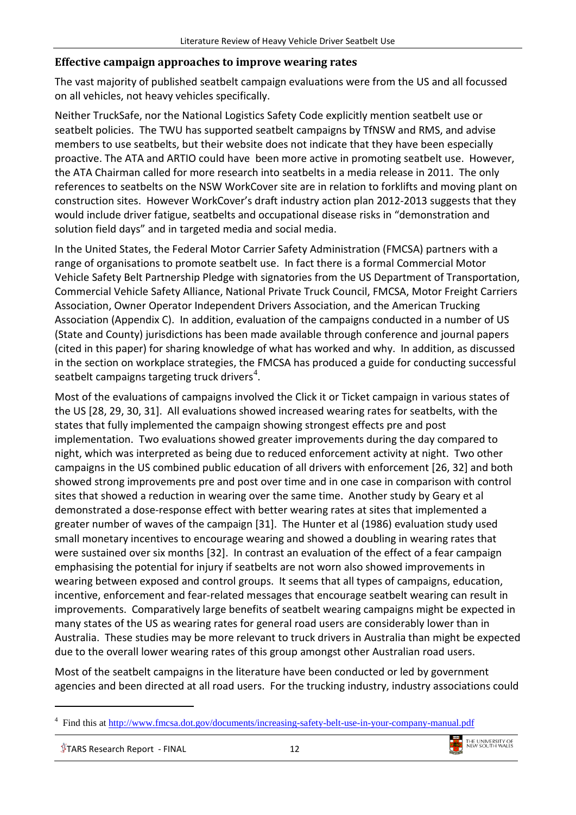#### **Effective campaign approaches to improve wearing rates**

The vast majority of published seatbelt campaign evaluations were from the US and all focussed on all vehicles, not heavy vehicles specifically.

Neither TruckSafe, nor the National Logistics Safety Code explicitly mention seatbelt use or seatbelt policies. The TWU has supported seatbelt campaigns by TfNSW and RMS, and advise members to use seatbelts, but their website does not indicate that they have been especially proactive. The ATA and ARTIO could have been more active in promoting seatbelt use. However, the ATA Chairman called for more research into seatbelts in a media release in 2011. The only references to seatbelts on the NSW WorkCover site are in relation to forklifts and moving plant on construction sites. However WorkCover's draft industry action plan 2012-2013 suggests that they would include driver fatigue, seatbelts and occupational disease risks in "demonstration and solution field days" and in targeted media and social media.

In the United States, the Federal Motor Carrier Safety Administration (FMCSA) partners with a range of organisations to promote seatbelt use. In fact there is a formal Commercial Motor Vehicle Safety Belt Partnership Pledge with signatories from the US Department of Transportation, Commercial Vehicle Safety Alliance, National Private Truck Council, FMCSA, Motor Freight Carriers Association, Owner Operator Independent Drivers Association, and the American Trucking Association (Appendix C). In addition, evaluation of the campaigns conducted in a number of US (State and County) jurisdictions has been made available through conference and journal papers (cited in this paper) for sharing knowledge of what has worked and why. In addition, as discussed in the section on workplace strategies, the FMCSA has produced a guide for conducting successful seatbelt campaigns targeting truck drivers<sup>[4](#page-11-0)</sup>.

Most of the evaluations of campaigns involved the Click it or Ticket campaign in various states of the US [28, 29, 30, 31]. All evaluations showed increased wearing rates for seatbelts, with the states that fully implemented the campaign showing strongest effects pre and post implementation. Two evaluations showed greater improvements during the day compared to night, which was interpreted as being due to reduced enforcement activity at night. Two other campaigns in the US combined public education of all drivers with enforcement [26, 32] and both showed strong improvements pre and post over time and in one case in comparison with control sites that showed a reduction in wearing over the same time. Another study by Geary et al demonstrated a dose-response effect with better wearing rates at sites that implemented a greater number of waves of the campaign [\[31\]](#page-19-5). The Hunter et al (1986) evaluation study used small monetary incentives to encourage wearing and showed a doubling in wearing rates that were sustained over six months [\[32\]](#page-19-6). In contrast an evaluation of the effect of a fear campaign emphasising the potential for injury if seatbelts are not worn also showed improvements in wearing between exposed and control groups. It seems that all types of campaigns, education, incentive, enforcement and fear-related messages that encourage seatbelt wearing can result in improvements. Comparatively large benefits of seatbelt wearing campaigns might be expected in many states of the US as wearing rates for general road users are considerably lower than in Australia. These studies may be more relevant to truck drivers in Australia than might be expected due to the overall lower wearing rates of this group amongst other Australian road users.

Most of the seatbelt campaigns in the literature have been conducted or led by government agencies and been directed at all road users. For the trucking industry, industry associations could

 $$$ TARS Research Report - FINAL  $12$ 

-



<span id="page-11-0"></span><sup>4</sup> Find this at<http://www.fmcsa.dot.gov/documents/increasing-safety-belt-use-in-your-company-manual.pdf>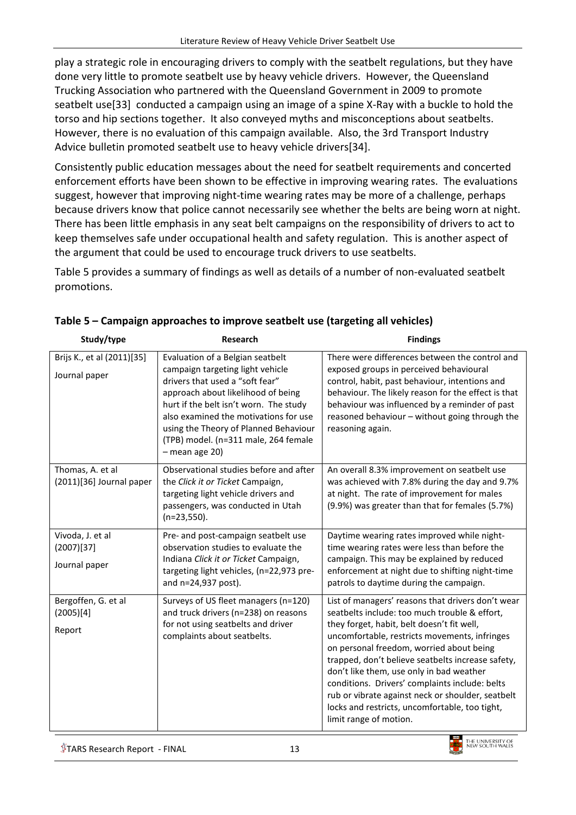play a strategic role in encouraging drivers to comply with the seatbelt regulations, but they have done very little to promote seatbelt use by heavy vehicle drivers. However, the Queensland Trucking Association who partnered with the Queensland Government in 2009 to promote seatbelt use[\[33\]](#page-19-7) conducted a campaign using an image of a spine X-Ray with a buckle to hold the torso and hip sections together. It also conveyed myths and misconceptions about seatbelts. However, there is no evaluation of this campaign available. Also, the 3rd Transport Industry Advice bulletin promoted seatbelt use to heavy vehicle drivers[\[34\]](#page-19-8).

Consistently public education messages about the need for seatbelt requirements and concerted enforcement efforts have been shown to be effective in improving wearing rates. The evaluations suggest, however that improving night-time wearing rates may be more of a challenge, perhaps because drivers know that police cannot necessarily see whether the belts are being worn at night. There has been little emphasis in any seat belt campaigns on the responsibility of drivers to act to keep themselves safe under occupational health and safety regulation. This is another aspect of the argument that could be used to encourage truck drivers to use seatbelts.

Table 5 provides a summary of findings as well as details of a number of non-evaluated seatbelt promotions.

| Study/type                                      | Research                                                                                                                                                                                                                                                                                                                            | <b>Findings</b>                                                                                                                                                                                                                                                                                                                                                                                                                                                                                                                   |
|-------------------------------------------------|-------------------------------------------------------------------------------------------------------------------------------------------------------------------------------------------------------------------------------------------------------------------------------------------------------------------------------------|-----------------------------------------------------------------------------------------------------------------------------------------------------------------------------------------------------------------------------------------------------------------------------------------------------------------------------------------------------------------------------------------------------------------------------------------------------------------------------------------------------------------------------------|
| Brijs K., et al (2011)[35]<br>Journal paper     | Evaluation of a Belgian seatbelt<br>campaign targeting light vehicle<br>drivers that used a "soft fear"<br>approach about likelihood of being<br>hurt if the belt isn't worn. The study<br>also examined the motivations for use<br>using the Theory of Planned Behaviour<br>(TPB) model. (n=311 male, 264 female<br>- mean age 20) | There were differences between the control and<br>exposed groups in perceived behavioural<br>control, habit, past behaviour, intentions and<br>behaviour. The likely reason for the effect is that<br>behaviour was influenced by a reminder of past<br>reasoned behaviour - without going through the<br>reasoning again.                                                                                                                                                                                                        |
| Thomas, A. et al<br>(2011)[36] Journal paper    | Observational studies before and after<br>the Click it or Ticket Campaign,<br>targeting light vehicle drivers and<br>passengers, was conducted in Utah<br>$(n=23,550)$ .                                                                                                                                                            | An overall 8.3% improvement on seatbelt use<br>was achieved with 7.8% during the day and 9.7%<br>at night. The rate of improvement for males<br>(9.9%) was greater than that for females (5.7%)                                                                                                                                                                                                                                                                                                                                   |
| Vivoda, J. et al<br>(2007)[37]<br>Journal paper | Pre- and post-campaign seatbelt use<br>observation studies to evaluate the<br>Indiana Click it or Ticket Campaign,<br>targeting light vehicles, (n=22,973 pre-<br>and n=24,937 post).                                                                                                                                               | Daytime wearing rates improved while night-<br>time wearing rates were less than before the<br>campaign. This may be explained by reduced<br>enforcement at night due to shifting night-time<br>patrols to daytime during the campaign.                                                                                                                                                                                                                                                                                           |
| Bergoffen, G. et al<br>(2005)[4]<br>Report      | Surveys of US fleet managers (n=120)<br>and truck drivers (n=238) on reasons<br>for not using seatbelts and driver<br>complaints about seatbelts.                                                                                                                                                                                   | List of managers' reasons that drivers don't wear<br>seatbelts include: too much trouble & effort,<br>they forget, habit, belt doesn't fit well,<br>uncomfortable, restricts movements, infringes<br>on personal freedom, worried about being<br>trapped, don't believe seatbelts increase safety,<br>don't like them, use only in bad weather<br>conditions. Drivers' complaints include: belts<br>rub or vibrate against neck or shoulder, seatbelt<br>locks and restricts, uncomfortable, too tight,<br>limit range of motion. |

#### **Table 5 – Campaign approaches to improve seatbelt use (targeting all vehicles)**

 $$$ TARS Research Report - FINAL  $13$ 

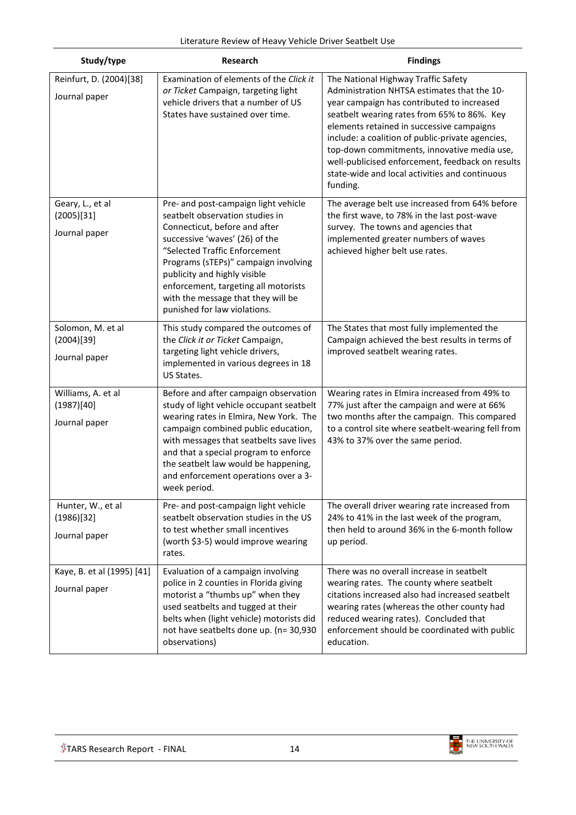| Study/type                                        | Research                                                                                                                                                                                                                                                                                                                                                          | <b>Findings</b>                                                                                                                                                                                                                                                                                                                                                                                                                                   |
|---------------------------------------------------|-------------------------------------------------------------------------------------------------------------------------------------------------------------------------------------------------------------------------------------------------------------------------------------------------------------------------------------------------------------------|---------------------------------------------------------------------------------------------------------------------------------------------------------------------------------------------------------------------------------------------------------------------------------------------------------------------------------------------------------------------------------------------------------------------------------------------------|
| Reinfurt, D. (2004)[38]<br>Journal paper          | Examination of elements of the Click it<br>or Ticket Campaign, targeting light<br>vehicle drivers that a number of US<br>States have sustained over time.                                                                                                                                                                                                         | The National Highway Traffic Safety<br>Administration NHTSA estimates that the 10-<br>year campaign has contributed to increased<br>seatbelt wearing rates from 65% to 86%. Key<br>elements retained in successive campaigns<br>include: a coalition of public-private agencies,<br>top-down commitments, innovative media use,<br>well-publicised enforcement, feedback on results<br>state-wide and local activities and continuous<br>funding. |
| Geary, L., et al<br>(2005)[31]<br>Journal paper   | Pre- and post-campaign light vehicle<br>seatbelt observation studies in<br>Connecticut, before and after<br>successive 'waves' (26) of the<br>"Selected Traffic Enforcement<br>Programs (sTEPs)" campaign involving<br>publicity and highly visible<br>enforcement, targeting all motorists<br>with the message that they will be<br>punished for law violations. | The average belt use increased from 64% before<br>the first wave, to 78% in the last post-wave<br>survey. The towns and agencies that<br>implemented greater numbers of waves<br>achieved higher belt use rates.                                                                                                                                                                                                                                  |
| Solomon, M. et al<br>(2004)[39]<br>Journal paper  | This study compared the outcomes of<br>the Click it or Ticket Campaign,<br>targeting light vehicle drivers,<br>implemented in various degrees in 18<br>US States.                                                                                                                                                                                                 | The States that most fully implemented the<br>Campaign achieved the best results in terms of<br>improved seatbelt wearing rates.                                                                                                                                                                                                                                                                                                                  |
| Williams, A. et al<br>(1987)[40]<br>Journal paper | Before and after campaign observation<br>study of light vehicle occupant seatbelt<br>wearing rates in Elmira, New York. The<br>campaign combined public education,<br>with messages that seatbelts save lives<br>and that a special program to enforce<br>the seatbelt law would be happening,<br>and enforcement operations over a 3-<br>week period.            | Wearing rates in Elmira increased from 49% to<br>77% just after the campaign and were at 66%<br>two months after the campaign. This compared<br>to a control site where seatbelt-wearing fell from<br>43% to 37% over the same period.                                                                                                                                                                                                            |
| Hunter, W., et al<br>(1986)[32]<br>Journal paper  | Pre- and post-campaign light vehicle<br>seatbelt observation studies in the US<br>to test whether small incentives<br>(worth \$3-5) would improve wearing<br>rates.                                                                                                                                                                                               | The overall driver wearing rate increased from<br>24% to 41% in the last week of the program,<br>then held to around 36% in the 6-month follow<br>up period.                                                                                                                                                                                                                                                                                      |
| Kaye, B. et al (1995) [41]<br>Journal paper       | Evaluation of a campaign involving<br>police in 2 counties in Florida giving<br>motorist a "thumbs up" when they<br>used seatbelts and tugged at their<br>belts when (light vehicle) motorists did<br>not have seatbelts done up. (n= 30,930<br>observations)                                                                                                     | There was no overall increase in seatbelt<br>wearing rates. The county where seatbelt<br>citations increased also had increased seatbelt<br>wearing rates (whereas the other county had<br>reduced wearing rates). Concluded that<br>enforcement should be coordinated with public<br>education.                                                                                                                                                  |

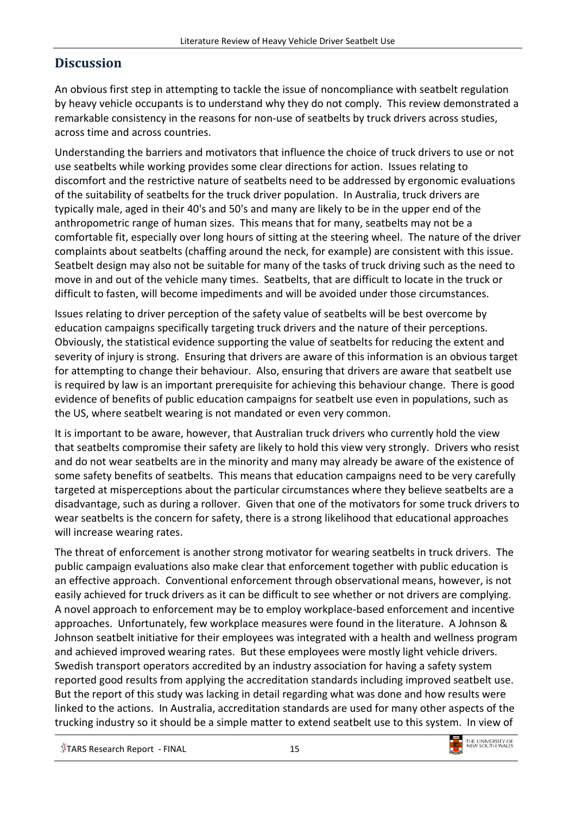## <span id="page-14-0"></span>**Discussion**

An obvious first step in attempting to tackle the issue of noncompliance with seatbelt regulation by heavy vehicle occupants is to understand why they do not comply. This review demonstrated a remarkable consistency in the reasons for non-use of seatbelts by truck drivers across studies, across time and across countries.

Understanding the barriers and motivators that influence the choice of truck drivers to use or not use seatbelts while working provides some clear directions for action. Issues relating to discomfort and the restrictive nature of seatbelts need to be addressed by ergonomic evaluations of the suitability of seatbelts for the truck driver population. In Australia, truck drivers are typically male, aged in their 40's and 50's and many are likely to be in the upper end of the anthropometric range of human sizes. This means that for many, seatbelts may not be a comfortable fit, especially over long hours of sitting at the steering wheel. The nature of the driver complaints about seatbelts (chaffing around the neck, for example) are consistent with this issue. Seatbelt design may also not be suitable for many of the tasks of truck driving such as the need to move in and out of the vehicle many times. Seatbelts, that are difficult to locate in the truck or difficult to fasten, will become impediments and will be avoided under those circumstances.

Issues relating to driver perception of the safety value of seatbelts will be best overcome by education campaigns specifically targeting truck drivers and the nature of their perceptions. Obviously, the statistical evidence supporting the value of seatbelts for reducing the extent and severity of injury is strong. Ensuring that drivers are aware of this information is an obvious target for attempting to change their behaviour. Also, ensuring that drivers are aware that seatbelt use is required by law is an important prerequisite for achieving this behaviour change. There is good evidence of benefits of public education campaigns for seatbelt use even in populations, such as the US, where seatbelt wearing is not mandated or even very common.

It is important to be aware, however, that Australian truck drivers who currently hold the view that seatbelts compromise their safety are likely to hold this view very strongly. Drivers who resist and do not wear seatbelts are in the minority and many may already be aware of the existence of some safety benefits of seatbelts. This means that education campaigns need to be very carefully targeted at misperceptions about the particular circumstances where they believe seatbelts are a disadvantage, such as during a rollover. Given that one of the motivators for some truck drivers to wear seatbelts is the concern for safety, there is a strong likelihood that educational approaches will increase wearing rates.

The threat of enforcement is another strong motivator for wearing seatbelts in truck drivers. The public campaign evaluations also make clear that enforcement together with public education is an effective approach. Conventional enforcement through observational means, however, is not easily achieved for truck drivers as it can be difficult to see whether or not drivers are complying. A novel approach to enforcement may be to employ workplace-based enforcement and incentive approaches. Unfortunately, few workplace measures were found in the literature. A Johnson & Johnson seatbelt initiative for their employees was integrated with a health and wellness program and achieved improved wearing rates. But these employees were mostly light vehicle drivers. Swedish transport operators accredited by an industry association for having a safety system reported good results from applying the accreditation standards including improved seatbelt use. But the report of this study was lacking in detail regarding what was done and how results were linked to the actions. In Australia, accreditation standards are used for many other aspects of the trucking industry so it should be a simple matter to extend seatbelt use to this system. In view of

 $$$ TARS Research Report - FINAL  $15$ 

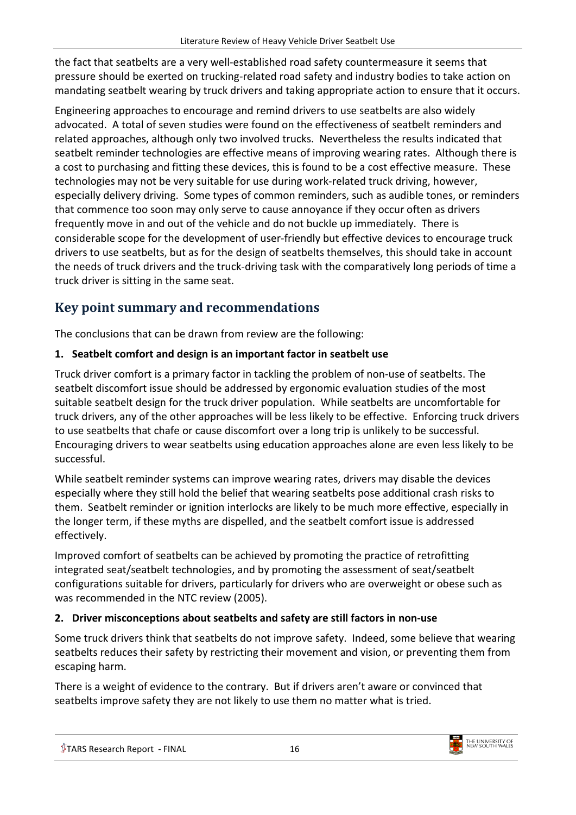the fact that seatbelts are a very well-established road safety countermeasure it seems that pressure should be exerted on trucking-related road safety and industry bodies to take action on mandating seatbelt wearing by truck drivers and taking appropriate action to ensure that it occurs.

Engineering approaches to encourage and remind drivers to use seatbelts are also widely advocated. A total of seven studies were found on the effectiveness of seatbelt reminders and related approaches, although only two involved trucks. Nevertheless the results indicated that seatbelt reminder technologies are effective means of improving wearing rates. Although there is a cost to purchasing and fitting these devices, this is found to be a cost effective measure. These technologies may not be very suitable for use during work-related truck driving, however, especially delivery driving. Some types of common reminders, such as audible tones, or reminders that commence too soon may only serve to cause annoyance if they occur often as drivers frequently move in and out of the vehicle and do not buckle up immediately. There is considerable scope for the development of user-friendly but effective devices to encourage truck drivers to use seatbelts, but as for the design of seatbelts themselves, this should take in account the needs of truck drivers and the truck-driving task with the comparatively long periods of time a truck driver is sitting in the same seat.

## <span id="page-15-0"></span>**Key point summary and recommendations**

The conclusions that can be drawn from review are the following:

### **1. Seatbelt comfort and design is an important factor in seatbelt use**

Truck driver comfort is a primary factor in tackling the problem of non-use of seatbelts. The seatbelt discomfort issue should be addressed by ergonomic evaluation studies of the most suitable seatbelt design for the truck driver population. While seatbelts are uncomfortable for truck drivers, any of the other approaches will be less likely to be effective. Enforcing truck drivers to use seatbelts that chafe or cause discomfort over a long trip is unlikely to be successful. Encouraging drivers to wear seatbelts using education approaches alone are even less likely to be successful.

While seatbelt reminder systems can improve wearing rates, drivers may disable the devices especially where they still hold the belief that wearing seatbelts pose additional crash risks to them. Seatbelt reminder or ignition interlocks are likely to be much more effective, especially in the longer term, if these myths are dispelled, and the seatbelt comfort issue is addressed effectively.

Improved comfort of seatbelts can be achieved by promoting the practice of retrofitting integrated seat/seatbelt technologies, and by promoting the assessment of seat/seatbelt configurations suitable for drivers, particularly for drivers who are overweight or obese such as was recommended in the NTC review (2005).

### **2. Driver misconceptions about seatbelts and safety are still factors in non-use**

Some truck drivers think that seatbelts do not improve safety. Indeed, some believe that wearing seatbelts reduces their safety by restricting their movement and vision, or preventing them from escaping harm.

There is a weight of evidence to the contrary. But if drivers aren't aware or convinced that seatbelts improve safety they are not likely to use them no matter what is tried.

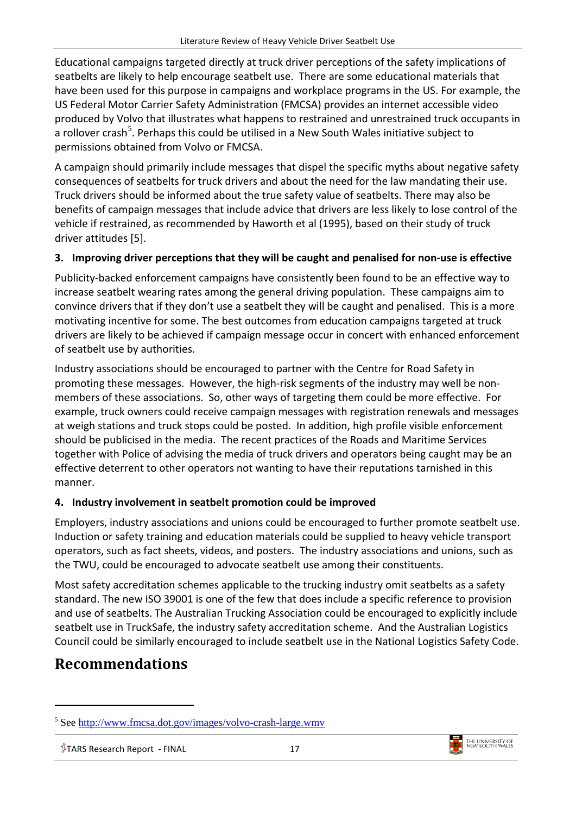Educational campaigns targeted directly at truck driver perceptions of the safety implications of seatbelts are likely to help encourage seatbelt use. There are some educational materials that have been used for this purpose in campaigns and workplace programs in the US. For example, the US Federal Motor Carrier Safety Administration (FMCSA) provides an internet accessible video produced by Volvo that illustrates what happens to restrained and unrestrained truck occupants in a rollover crash<sup>[5](#page-16-0)</sup>. Perhaps this could be utilised in a New South Wales initiative subject to permissions obtained from Volvo or FMCSA.

A campaign should primarily include messages that dispel the specific myths about negative safety consequences of seatbelts for truck drivers and about the need for the law mandating their use. Truck drivers should be informed about the true safety value of seatbelts. There may also be benefits of campaign messages that include advice that drivers are less likely to lose control of the vehicle if restrained, as recommended by Haworth et al (1995), based on their study of truck driver attitudes [\[5\]](#page-18-9).

#### **3. Improving driver perceptions that they will be caught and penalised for non-use is effective**

Publicity-backed enforcement campaigns have consistently been found to be an effective way to increase seatbelt wearing rates among the general driving population. These campaigns aim to convince drivers that if they don't use a seatbelt they will be caught and penalised. This is a more motivating incentive for some. The best outcomes from education campaigns targeted at truck drivers are likely to be achieved if campaign message occur in concert with enhanced enforcement of seatbelt use by authorities.

Industry associations should be encouraged to partner with the Centre for Road Safety in promoting these messages. However, the high-risk segments of the industry may well be nonmembers of these associations. So, other ways of targeting them could be more effective. For example, truck owners could receive campaign messages with registration renewals and messages at weigh stations and truck stops could be posted. In addition, high profile visible enforcement should be publicised in the media. The recent practices of the Roads and Maritime Services together with Police of advising the media of truck drivers and operators being caught may be an effective deterrent to other operators not wanting to have their reputations tarnished in this manner.

#### **4. Industry involvement in seatbelt promotion could be improved**

Employers, industry associations and unions could be encouraged to further promote seatbelt use. Induction or safety training and education materials could be supplied to heavy vehicle transport operators, such as fact sheets, videos, and posters. The industry associations and unions, such as the TWU, could be encouraged to advocate seatbelt use among their constituents.

Most safety accreditation schemes applicable to the trucking industry omit seatbelts as a safety standard. The new ISO 39001 is one of the few that does include a specific reference to provision and use of seatbelts. The Australian Trucking Association could be encouraged to explicitly include seatbelt use in TruckSafe, the industry safety accreditation scheme. And the Australian Logistics Council could be similarly encouraged to include seatbelt use in the National Logistics Safety Code.

## **Recommendations**

-



<span id="page-16-0"></span><sup>5</sup> See <http://www.fmcsa.dot.gov/images/volvo-crash-large.wmv>

 $$$ TARS Research Report - FINAL  $17$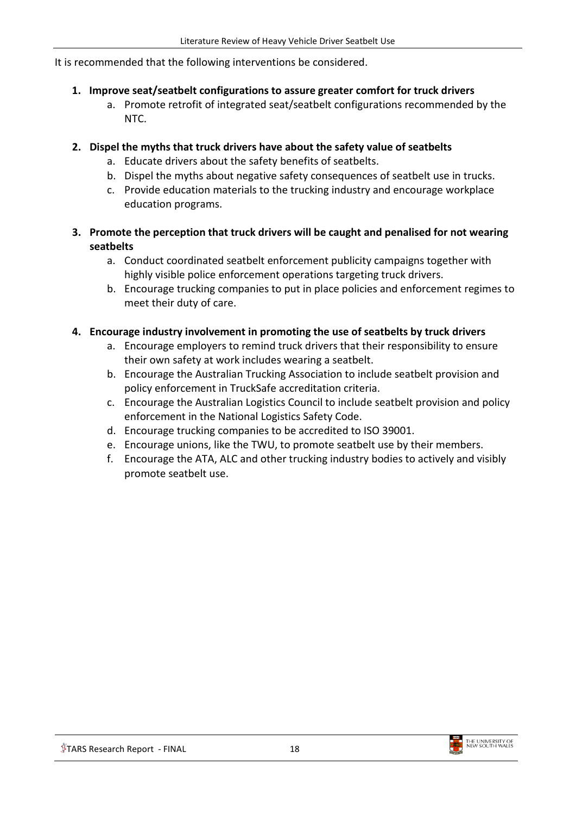It is recommended that the following interventions be considered.

#### **1. Improve seat/seatbelt configurations to assure greater comfort for truck drivers**

a. Promote retrofit of integrated seat/seatbelt configurations recommended by the NTC.

#### **2. Dispel the myths that truck drivers have about the safety value of seatbelts**

- a. Educate drivers about the safety benefits of seatbelts.
- b. Dispel the myths about negative safety consequences of seatbelt use in trucks.
- c. Provide education materials to the trucking industry and encourage workplace education programs.
- **3. Promote the perception that truck drivers will be caught and penalised for not wearing seatbelts**
	- a. Conduct coordinated seatbelt enforcement publicity campaigns together with highly visible police enforcement operations targeting truck drivers.
	- b. Encourage trucking companies to put in place policies and enforcement regimes to meet their duty of care.

#### **4. Encourage industry involvement in promoting the use of seatbelts by truck drivers**

- a. Encourage employers to remind truck drivers that their responsibility to ensure their own safety at work includes wearing a seatbelt.
- b. Encourage the Australian Trucking Association to include seatbelt provision and policy enforcement in TruckSafe accreditation criteria.
- c. Encourage the Australian Logistics Council to include seatbelt provision and policy enforcement in the National Logistics Safety Code.
- d. Encourage trucking companies to be accredited to ISO 39001.
- e. Encourage unions, like the TWU, to promote seatbelt use by their members.
- f. Encourage the ATA, ALC and other trucking industry bodies to actively and visibly promote seatbelt use.

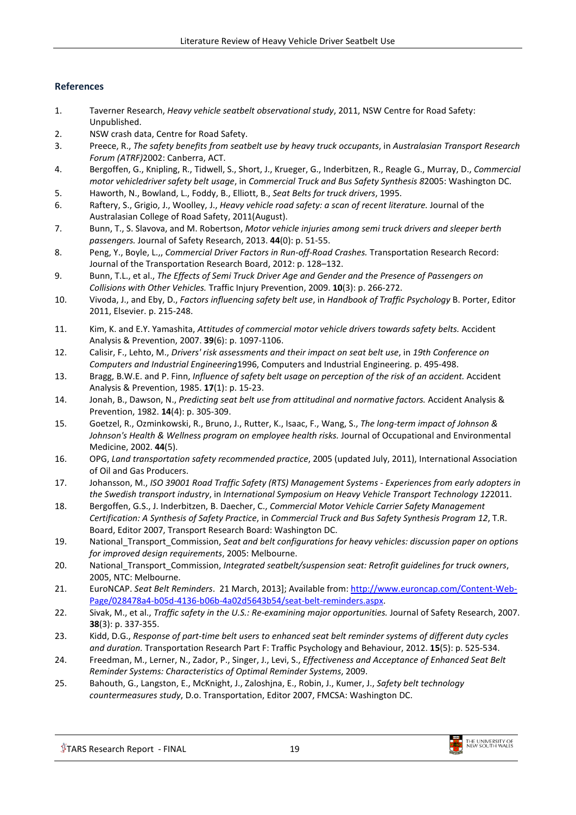#### <span id="page-18-0"></span>**References**

- <span id="page-18-1"></span>1. Taverner Research, *Heavy vehicle seatbelt observational study*, 2011, NSW Centre for Road Safety: Unpublished.
- <span id="page-18-2"></span>2. NSW crash data, Centre for Road Safety.
- <span id="page-18-3"></span>3. Preece, R., *The safety benefits from seatbelt use by heavy truck occupants*, in *Australasian Transport Research Forum (ATRF)*2002: Canberra, ACT.
- <span id="page-18-4"></span>4. Bergoffen, G., Knipling, R., Tidwell, S., Short, J., Krueger, G., Inderbitzen, R., Reagle G., Murray, D., *Commercial motor vehicledriver safety belt usage*, in *Commercial Truck and Bus Safety Synthesis 8*2005: Washington DC.
- <span id="page-18-9"></span>5. Haworth, N., Bowland, L., Foddy, B., Elliott, B., *Seat Belts for truck drivers*, 1995.
- <span id="page-18-25"></span>6. Raftery, S., Grigio, J., Woolley, J., *Heavy vehicle road safety: a scan of recent literature.* Journal of the Australasian College of Road Safety, 2011(August).
- <span id="page-18-5"></span>7. Bunn, T., S. Slavova, and M. Robertson, *Motor vehicle injuries among semi truck drivers and sleeper berth passengers.* Journal of Safety Research, 2013. **44**(0): p. 51-55.
- <span id="page-18-6"></span>8. Peng, Y., Boyle, L.,, *Commercial Driver Factors in Run-off-Road Crashes.* Transportation Research Record: Journal of the Transportation Research Board, 2012: p. 128–132.
- <span id="page-18-7"></span>9. Bunn, T.L., et al., *The Effects of Semi Truck Driver Age and Gender and the Presence of Passengers on Collisions with Other Vehicles.* Traffic Injury Prevention, 2009. **10**(3): p. 266-272.
- <span id="page-18-8"></span>10. Vivoda, J., and Eby, D., *Factors influencing safety belt use*, in *Handbook of Traffic Psychology* B. Porter, Editor 2011, Elsevier. p. 215-248.
- <span id="page-18-10"></span>11. Kim, K. and E.Y. Yamashita, *Attitudes of commercial motor vehicle drivers towards safety belts.* Accident Analysis & Prevention, 2007. **39**(6): p. 1097-1106.
- <span id="page-18-11"></span>12. Calisir, F., Lehto, M., *Drivers' risk assessments and their impact on seat belt use*, in *19th Conference on Computers and Industrial Engineering*1996, Computers and Industrial Engineering. p. 495-498.
- <span id="page-18-12"></span>13. Bragg, B.W.E. and P. Finn, *Influence of safety belt usage on perception of the risk of an accident.* Accident Analysis & Prevention, 1985. **17**(1): p. 15-23.
- <span id="page-18-13"></span>14. Jonah, B., Dawson, N., *Predicting seat belt use from attitudinal and normative factors.* Accident Analysis & Prevention, 1982. **14**(4): p. 305-309.
- <span id="page-18-14"></span>15. Goetzel, R., Ozminkowski, R., Bruno, J., Rutter, K., Isaac, F., Wang, S., *The long-term impact of Johnson & Johnson's Health & Wellness program on employee health risks.* Journal of Occupational and Environmental Medicine, 2002. **44**(5).
- <span id="page-18-15"></span>16. OPG, *Land transportation safety recommended practice*, 2005 (updated July, 2011), International Association of Oil and Gas Producers.
- <span id="page-18-16"></span>17. Johansson, M., *ISO 39001 Road Traffic Safety (RTS) Management Systems - Experiences from early adopters in the Swedish transport industry*, in *International Symposium on Heavy Vehicle Transport Technology 12*2011.
- <span id="page-18-17"></span>18. Bergoffen, G.S., J. Inderbitzen, B. Daecher, C., *Commercial Motor Vehicle Carrier Safety Management Certification: A Synthesis of Safety Practice*, in *Commercial Truck and Bus Safety Synthesis Program 12*, T.R. Board, Editor 2007, Transport Research Board: Washington DC.
- <span id="page-18-18"></span>19. National\_Transport\_Commission, *Seat and belt configurations for heavy vehicles: discussion paper on options for improved design requirements*, 2005: Melbourne.
- <span id="page-18-19"></span>20. National\_Transport\_Commission, *Integrated seatbelt/suspension seat: Retrofit guidelines for truck owners*, 2005, NTC: Melbourne.
- <span id="page-18-20"></span>21. EuroNCAP. *Seat Belt Reminders*. 21 March, 2013]; Available from: [http://www.euroncap.com/Content-Web-](http://www.euroncap.com/Content-Web-Page/028478a4-b05d-4136-b06b-4a02d5643b54/seat-belt-reminders.aspx)[Page/028478a4-b05d-4136-b06b-4a02d5643b54/seat-belt-reminders.aspx.](http://www.euroncap.com/Content-Web-Page/028478a4-b05d-4136-b06b-4a02d5643b54/seat-belt-reminders.aspx)
- <span id="page-18-21"></span>22. Sivak, M., et al., *Traffic safety in the U.S.: Re-examining major opportunities.* Journal of Safety Research, 2007. **38**(3): p. 337-355.
- <span id="page-18-22"></span>23. Kidd, D.G., *Response of part-time belt users to enhanced seat belt reminder systems of different duty cycles and duration.* Transportation Research Part F: Traffic Psychology and Behaviour, 2012. **15**(5): p. 525-534.
- <span id="page-18-23"></span>24. Freedman, M., Lerner, N., Zador, P., Singer, J., Levi, S., *Effectiveness and Acceptance of Enhanced Seat Belt Reminder Systems: Characteristics of Optimal Reminder Systems*, 2009.
- <span id="page-18-24"></span>25. Bahouth, G., Langston, E., McKnight, J., Zaloshjna, E., Robin, J., Kumer, J., *Safety belt technology countermeasures study*, D.o. Transportation, Editor 2007, FMCSA: Washington DC.

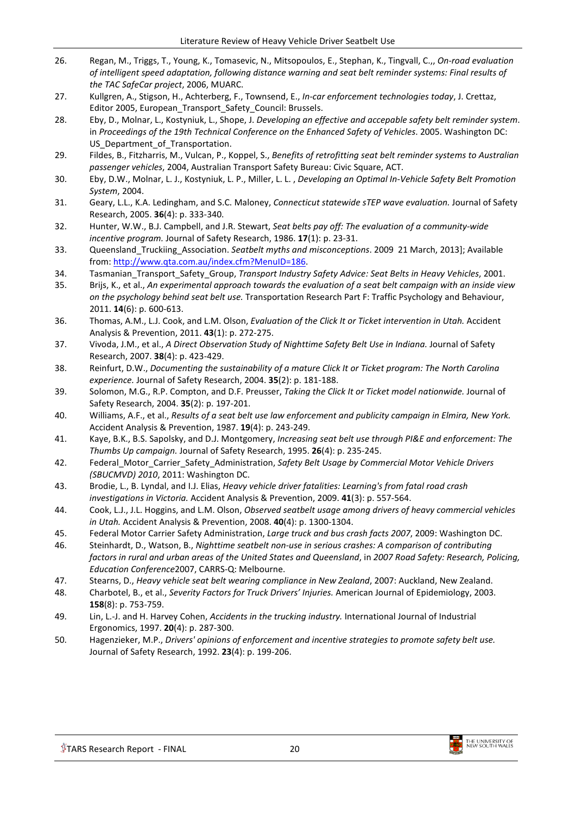- <span id="page-19-0"></span>26. Regan, M., Triggs, T., Young, K., Tomasevic, N., Mitsopoulos, E., Stephan, K., Tingvall, C.,, *On-road evaluation of intelligent speed adaptation, following distance warning and seat belt reminder systems: Final results of the TAC SafeCar project*, 2006, MUARC.
- <span id="page-19-1"></span>27. Kullgren, A., Stigson, H., Achterberg, F., Townsend, E., *In-car enforcement technologies today*, J. Crettaz, Editor 2005, European\_Transport\_Safety\_Council: Brussels.
- <span id="page-19-2"></span>28. Eby, D., Molnar, L., Kostyniuk, L., Shope, J. *Developing an effective and accepable safety belt reminder system*. in *Proceedings of the 19th Technical Conference on the Enhanced Safety of Vehicles*. 2005. Washington DC: US Department of Transportation.
- <span id="page-19-3"></span>29. Fildes, B., Fitzharris, M., Vulcan, P., Koppel, S., *Benefits of retrofitting seat belt reminder systems to Australian passenger vehicles*, 2004, Australian Transport Safety Bureau: Civic Square, ACT.
- <span id="page-19-4"></span>30. Eby, D.W., Molnar, L. J., Kostyniuk, L. P., Miller, L. L. , *Developing an Optimal In-Vehicle Safety Belt Promotion System*, 2004.
- <span id="page-19-5"></span>31. Geary, L.L., K.A. Ledingham, and S.C. Maloney, *Connecticut statewide sTEP wave evaluation.* Journal of Safety Research, 2005. **36**(4): p. 333-340.
- <span id="page-19-6"></span>32. Hunter, W.W., B.J. Campbell, and J.R. Stewart, *Seat belts pay off: The evaluation of a community-wide incentive program.* Journal of Safety Research, 1986. **17**(1): p. 23-31.
- <span id="page-19-7"></span>33. Queensland\_Truckiing\_Association. *Seatbelt myths and misconceptions*. 2009 21 March, 2013]; Available from: [http://www.qta.com.au/index.cfm?MenuID=186.](http://www.qta.com.au/index.cfm?MenuID=186)
- <span id="page-19-8"></span>34. Tasmanian\_Transport\_Safety\_Group, *Transport Industry Safety Advice: Seat Belts in Heavy Vehicles*, 2001.
- <span id="page-19-9"></span>35. Brijs, K., et al., *An experimental approach towards the evaluation of a seat belt campaign with an inside view on the psychology behind seat belt use.* Transportation Research Part F: Traffic Psychology and Behaviour, 2011. **14**(6): p. 600-613.
- <span id="page-19-10"></span>36. Thomas, A.M., L.J. Cook, and L.M. Olson, *Evaluation of the Click It or Ticket intervention in Utah.* Accident Analysis & Prevention, 2011. **43**(1): p. 272-275.
- <span id="page-19-11"></span>37. Vivoda, J.M., et al., *A Direct Observation Study of Nighttime Safety Belt Use in Indiana.* Journal of Safety Research, 2007. **38**(4): p. 423-429.
- <span id="page-19-12"></span>38. Reinfurt, D.W., *Documenting the sustainability of a mature Click It or Ticket program: The North Carolina experience.* Journal of Safety Research, 2004. **35**(2): p. 181-188.
- <span id="page-19-13"></span>39. Solomon, M.G., R.P. Compton, and D.F. Preusser, *Taking the Click It or Ticket model nationwide.* Journal of Safety Research, 2004. **35**(2): p. 197-201.
- <span id="page-19-14"></span>40. Williams, A.F., et al., *Results of a seat belt use law enforcement and publicity campaign in Elmira, New York.* Accident Analysis & Prevention, 1987. **19**(4): p. 243-249.
- <span id="page-19-15"></span>41. Kaye, B.K., B.S. Sapolsky, and D.J. Montgomery, *Increasing seat belt use through PI&E and enforcement: The Thumbs Up campaign.* Journal of Safety Research, 1995. **26**(4): p. 235-245.
- <span id="page-19-16"></span>42. Federal\_Motor\_Carrier\_Safety\_Administration, *Safety Belt Usage by Commercial Motor Vehicle Drivers (SBUCMVD) 2010*, 2011: Washington DC.
- <span id="page-19-17"></span>43. Brodie, L., B. Lyndal, and I.J. Elias, *Heavy vehicle driver fatalities: Learning's from fatal road crash investigations in Victoria.* Accident Analysis & Prevention, 2009. **41**(3): p. 557-564.
- <span id="page-19-18"></span>44. Cook, L.J., J.L. Hoggins, and L.M. Olson, *Observed seatbelt usage among drivers of heavy commercial vehicles in Utah.* Accident Analysis & Prevention, 2008. **40**(4): p. 1300-1304.
- <span id="page-19-19"></span>45. Federal Motor Carrier Safety Administration, *Large truck and bus crash facts 2007*, 2009: Washington DC.
- <span id="page-19-20"></span>46. Steinhardt, D., Watson, B., *Nighttime seatbelt non-use in serious crashes: A comparison of contributing factors in rural and urban areas of the United States and Queensland*, in *2007 Road Safety: Research, Policing, Education Conference*2007, CARRS-Q: Melbourne.
- <span id="page-19-21"></span>47. Stearns, D., *Heavy vehicle seat belt wearing compliance in New Zealand*, 2007: Auckland, New Zealand.
- <span id="page-19-22"></span>48. Charbotel, B., et al., *Severity Factors for Truck Drivers' Injuries.* American Journal of Epidemiology, 2003. **158**(8): p. 753-759.
- <span id="page-19-23"></span>49. Lin, L.-J. and H. Harvey Cohen, *Accidents in the trucking industry.* International Journal of Industrial Ergonomics, 1997. **20**(4): p. 287-300.
- <span id="page-19-24"></span>50. Hagenzieker, M.P., *Drivers' opinions of enforcement and incentive strategies to promote safety belt use.* Journal of Safety Research, 1992. **23**(4): p. 199-206.

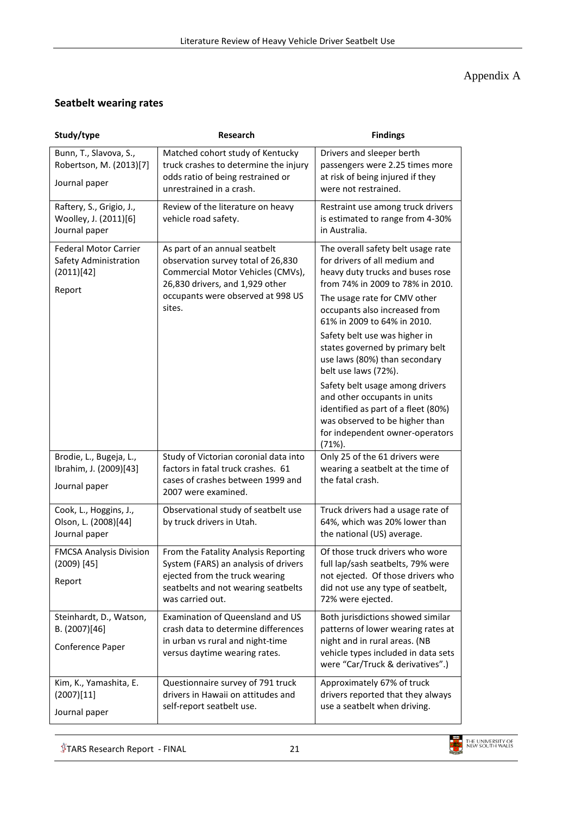## Appendix A

#### **Seatbelt wearing rates**

| Study/type                                                                    | <b>Research</b>                                                                                                                                                                            | <b>Findings</b>                                                                                                                                                                                                                                                                                                                                                                                                                                                                                                                                                      |
|-------------------------------------------------------------------------------|--------------------------------------------------------------------------------------------------------------------------------------------------------------------------------------------|----------------------------------------------------------------------------------------------------------------------------------------------------------------------------------------------------------------------------------------------------------------------------------------------------------------------------------------------------------------------------------------------------------------------------------------------------------------------------------------------------------------------------------------------------------------------|
| Bunn, T., Slavova, S.,<br>Robertson, M. (2013)[7]<br>Journal paper            | Matched cohort study of Kentucky<br>truck crashes to determine the injury<br>odds ratio of being restrained or<br>unrestrained in a crash.                                                 | Drivers and sleeper berth<br>passengers were 2.25 times more<br>at risk of being injured if they<br>were not restrained.                                                                                                                                                                                                                                                                                                                                                                                                                                             |
| Raftery, S., Grigio, J.,<br>Woolley, J. (2011)[6]<br>Journal paper            | Review of the literature on heavy<br>vehicle road safety.                                                                                                                                  | Restraint use among truck drivers<br>is estimated to range from 4-30%<br>in Australia.                                                                                                                                                                                                                                                                                                                                                                                                                                                                               |
| <b>Federal Motor Carrier</b><br>Safety Administration<br>(2011)[42]<br>Report | As part of an annual seatbelt<br>observation survey total of 26,830<br>Commercial Motor Vehicles (CMVs),<br>26,830 drivers, and 1,929 other<br>occupants were observed at 998 US<br>sites. | The overall safety belt usage rate<br>for drivers of all medium and<br>heavy duty trucks and buses rose<br>from 74% in 2009 to 78% in 2010.<br>The usage rate for CMV other<br>occupants also increased from<br>61% in 2009 to 64% in 2010.<br>Safety belt use was higher in<br>states governed by primary belt<br>use laws (80%) than secondary<br>belt use laws (72%).<br>Safety belt usage among drivers<br>and other occupants in units<br>identified as part of a fleet (80%)<br>was observed to be higher than<br>for independent owner-operators<br>$(71%)$ . |
| Brodie, L., Bugeja, L.,<br>Ibrahim, J. (2009)[43]<br>Journal paper            | Study of Victorian coronial data into<br>factors in fatal truck crashes. 61<br>cases of crashes between 1999 and<br>2007 were examined.                                                    | Only 25 of the 61 drivers were<br>wearing a seatbelt at the time of<br>the fatal crash.                                                                                                                                                                                                                                                                                                                                                                                                                                                                              |
| Cook, L., Hoggins, J.,<br>Olson, L. (2008)[44]<br>Journal paper               | Observational study of seatbelt use<br>by truck drivers in Utah.                                                                                                                           | Truck drivers had a usage rate of<br>64%, which was 20% lower than<br>the national (US) average.                                                                                                                                                                                                                                                                                                                                                                                                                                                                     |
| <b>FMCSA Analysis Division</b><br>(2009) [45]<br>Report                       | From the Fatality Analysis Reporting<br>System (FARS) an analysis of drivers<br>ejected from the truck wearing<br>seatbelts and not wearing seatbelts<br>was carried out.                  | Of those truck drivers who wore<br>full lap/sash seatbelts, 79% were<br>not ejected. Of those drivers who<br>did not use any type of seatbelt,<br>72% were ejected.                                                                                                                                                                                                                                                                                                                                                                                                  |
| Steinhardt, D., Watson,<br>B. (2007)[46]<br>Conference Paper                  | Examination of Queensland and US<br>crash data to determine differences<br>in urban vs rural and night-time<br>versus daytime wearing rates.                                               | Both jurisdictions showed similar<br>patterns of lower wearing rates at<br>night and in rural areas. (NB<br>vehicle types included in data sets<br>were "Car/Truck & derivatives".)                                                                                                                                                                                                                                                                                                                                                                                  |
| Kim, K., Yamashita, E.<br>(2007)[11]<br>Journal paper                         | Questionnaire survey of 791 truck<br>drivers in Hawaii on attitudes and<br>self-report seatbelt use.                                                                                       | Approximately 67% of truck<br>drivers reported that they always<br>use a seatbelt when driving.                                                                                                                                                                                                                                                                                                                                                                                                                                                                      |

 $$$ TARS Research Report - FINAL 21

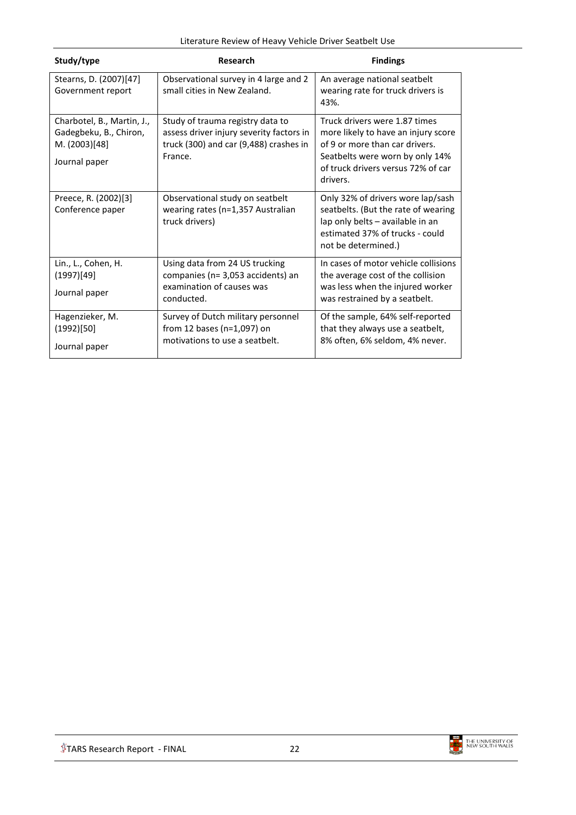|  | Literature Review of Heavy Vehicle Driver Seatbelt Use |
|--|--------------------------------------------------------|
|--|--------------------------------------------------------|

| Study/type                                                                             | Research                                                                                                                          | <b>Findings</b>                                                                                                                                                                             |
|----------------------------------------------------------------------------------------|-----------------------------------------------------------------------------------------------------------------------------------|---------------------------------------------------------------------------------------------------------------------------------------------------------------------------------------------|
| Stearns, D. (2007)[47]<br>Government report                                            | Observational survey in 4 large and 2<br>small cities in New Zealand.                                                             | An average national seatbelt<br>wearing rate for truck drivers is<br>43%.                                                                                                                   |
| Charbotel, B., Martin, J.,<br>Gadegbeku, B., Chiron,<br>M. (2003)[48]<br>Journal paper | Study of trauma registry data to<br>assess driver injury severity factors in<br>truck (300) and car (9,488) crashes in<br>France. | Truck drivers were 1.87 times<br>more likely to have an injury score<br>of 9 or more than car drivers.<br>Seatbelts were worn by only 14%<br>of truck drivers versus 72% of car<br>drivers. |
| Preece, R. (2002)[3]<br>Conference paper                                               | Observational study on seatbelt<br>wearing rates (n=1,357 Australian<br>truck drivers)                                            | Only 32% of drivers wore lap/sash<br>seatbelts. (But the rate of wearing<br>lap only belts - available in an<br>estimated 37% of trucks - could<br>not be determined.)                      |
| Lin., L., Cohen, H.<br>(1997)[49]<br>Journal paper                                     | Using data from 24 US trucking<br>companies (n= 3,053 accidents) an<br>examination of causes was<br>conducted.                    | In cases of motor vehicle collisions<br>the average cost of the collision<br>was less when the injured worker<br>was restrained by a seatbelt.                                              |
| Hagenzieker, M.<br>(1992)[50]<br>Journal paper                                         | Survey of Dutch military personnel<br>from 12 bases ( $n=1,097$ ) on<br>motivations to use a seatbelt.                            | Of the sample, 64% self-reported<br>that they always use a seatbelt,<br>8% often, 6% seldom, 4% never.                                                                                      |

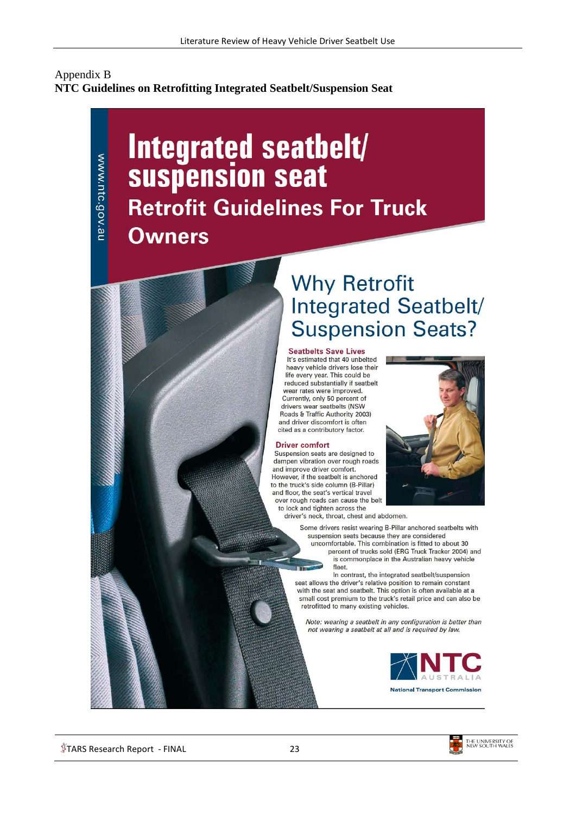#### Appendix B **NTC Guidelines on Retrofitting Integrated Seatbelt/Suspension Seat**

# Integrated seathelt/ suspension seat **Retrofit Guidelines For Truck Owners**

# **Why Retrofit** Integrated Seatbelt/ **Suspension Seats?**

#### **Seatbelts Save Lives**

It's estimated that 40 unbelted heavy vehicle drivers lose their life every year. This could be reduced substantially if seatbelt wear rates were improved. Currently, only 50 percent of drivers wear seatbelts (NSW Roads & Traffic Authority 2003) and driver discomfort is often cited as a contributory factor.

#### **Driver comfort**

Suspension seats are designed to dampen vibration over rough roads and improve driver comfort. However, if the seatbelt is anchored to the truck's side column (B-Pillar) and floor, the seat's vertical travel over rough roads can cause the belt

to lock and tighten across the driver's neck, throat, chest and abdomen.

> Some drivers resist wearing B-Pillar anchored seatbelts with suspension seats because they are considered uncomfortable. This combination is fitted to about 30 percent of trucks sold (ERG Truck Tracker 2004) and is commonplace in the Australian heavy vehicle fleet.

In contrast, the integrated seatbelt/suspension seat allows the driver's relative position to remain constant with the seat and seatbelt. This option is often available at a small cost premium to the truck's retail price and can also be retrofitted to many existing vehicles.

Note: wearing a seatbelt in any configuration is better than not wearing a seatbelt at all and is required by law.





www.ntc.gov.au



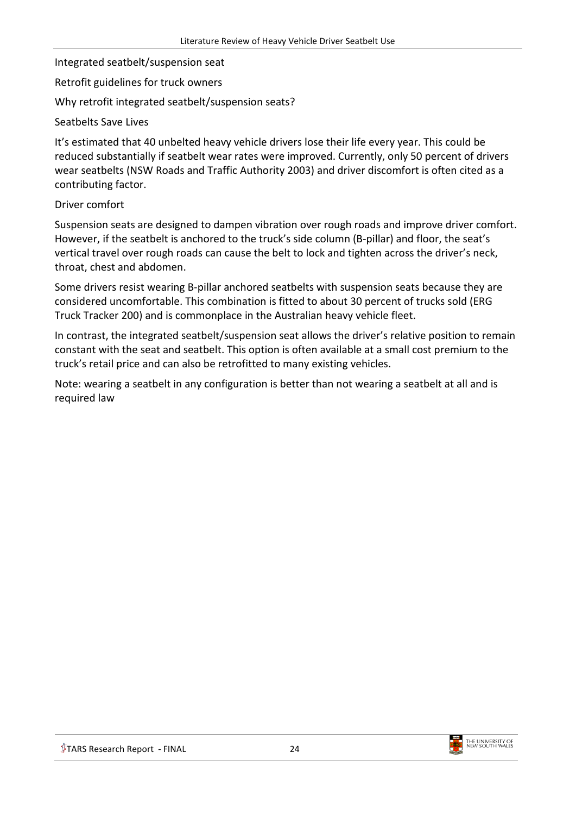Integrated seatbelt/suspension seat

Retrofit guidelines for truck owners

Why retrofit integrated seatbelt/suspension seats?

Seatbelts Save Lives

It's estimated that 40 unbelted heavy vehicle drivers lose their life every year. This could be reduced substantially if seatbelt wear rates were improved. Currently, only 50 percent of drivers wear seatbelts (NSW Roads and Traffic Authority 2003) and driver discomfort is often cited as a contributing factor.

#### Driver comfort

Suspension seats are designed to dampen vibration over rough roads and improve driver comfort. However, if the seatbelt is anchored to the truck's side column (B-pillar) and floor, the seat's vertical travel over rough roads can cause the belt to lock and tighten across the driver's neck, throat, chest and abdomen.

Some drivers resist wearing B-pillar anchored seatbelts with suspension seats because they are considered uncomfortable. This combination is fitted to about 30 percent of trucks sold (ERG Truck Tracker 200) and is commonplace in the Australian heavy vehicle fleet.

In contrast, the integrated seatbelt/suspension seat allows the driver's relative position to remain constant with the seat and seatbelt. This option is often available at a small cost premium to the truck's retail price and can also be retrofitted to many existing vehicles.

Note: wearing a seatbelt in any configuration is better than not wearing a seatbelt at all and is required law

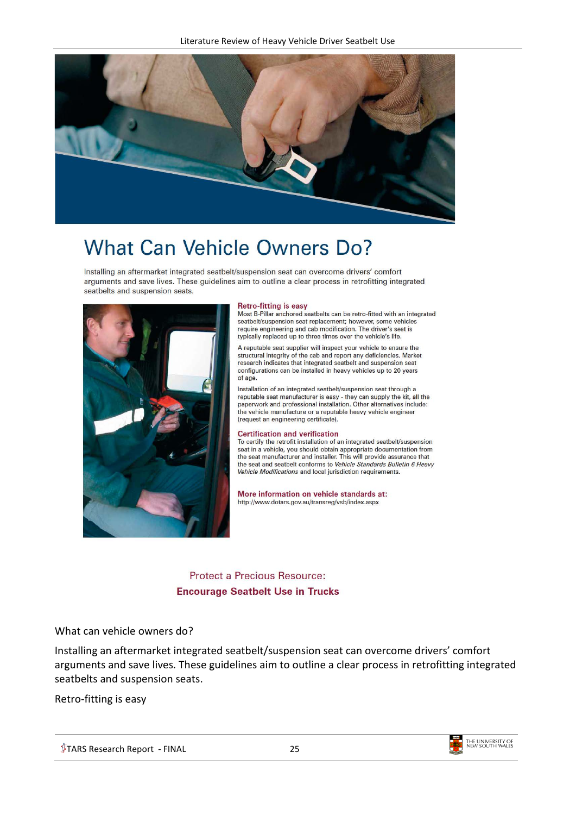

# **What Can Vehicle Owners Do?**

Installing an aftermarket integrated seatbelt/suspension seat can overcome drivers' comfort arguments and save lives. These guidelines aim to outline a clear process in retrofitting integrated seatbelts and suspension seats.



#### **Retro-fitting is easy**

Most B-Pillar anchored seatbelts can be retro-fitted with an integrated seatbelt/suspension seat replacement; however, some vehicles require engineering and cab modification. The driver's seat is typically replaced up to three times over the vehicle's life.

A reputable seat supplier will inspect your vehicle to ensure the structural integrity of the cab and report any deficiencies. Market research indicates that integrated seatbelt and suspension seat configurations can be installed in heavy vehicles up to 20 years of age.

Installation of an integrated seatbelt/suspension seat through a reputable seat manufacturer is easy - they can supply the kit, all the paperwork and professional installation. Other alternatives include: the vehicle manufacture or a reputable heavy vehicle engineer (request an engineering certificate).

#### **Certification and verification**

To certify the retrofit installation of an integrated seatbelt/suspension seat in a vehicle, you should obtain appropriate documentation from the seat manufacturer and installer. This will provide assurance that the seat and seatbelt conforms to Vehicle Standards Bulletin 6 Heavy Vehicle Modifications and local jurisdiction requirements.

More information on vehicle standards at: http://www.dotars.gov.au/transreg/vsb/index.aspx

**Protect a Precious Resource: Encourage Seatbelt Use in Trucks** 

#### What can vehicle owners do?

Installing an aftermarket integrated seatbelt/suspension seat can overcome drivers' comfort arguments and save lives. These guidelines aim to outline a clear process in retrofitting integrated seatbelts and suspension seats.

Retro-fitting is easy

 $\sqrt[6]{7}$ TARS Research Report - FINAL 25

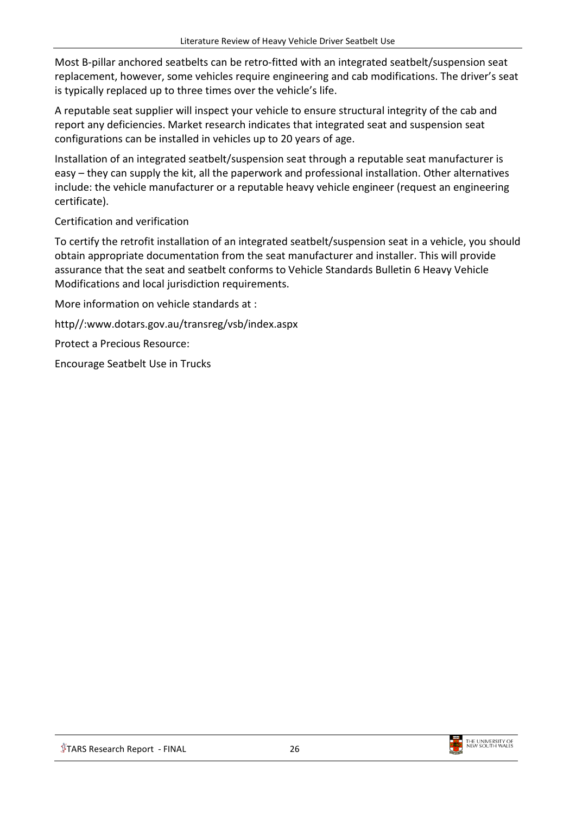Most B-pillar anchored seatbelts can be retro-fitted with an integrated seatbelt/suspension seat replacement, however, some vehicles require engineering and cab modifications. The driver's seat is typically replaced up to three times over the vehicle's life.

A reputable seat supplier will inspect your vehicle to ensure structural integrity of the cab and report any deficiencies. Market research indicates that integrated seat and suspension seat configurations can be installed in vehicles up to 20 years of age.

Installation of an integrated seatbelt/suspension seat through a reputable seat manufacturer is easy – they can supply the kit, all the paperwork and professional installation. Other alternatives include: the vehicle manufacturer or a reputable heavy vehicle engineer (request an engineering certificate).

#### Certification and verification

To certify the retrofit installation of an integrated seatbelt/suspension seat in a vehicle, you should obtain appropriate documentation from the seat manufacturer and installer. This will provide assurance that the seat and seatbelt conforms to Vehicle Standards Bulletin 6 Heavy Vehicle Modifications and local jurisdiction requirements.

More information on vehicle standards at :

http//:www.dotars.gov.au/transreg/vsb/index.aspx

Protect a Precious Resource:

Encourage Seatbelt Use in Trucks



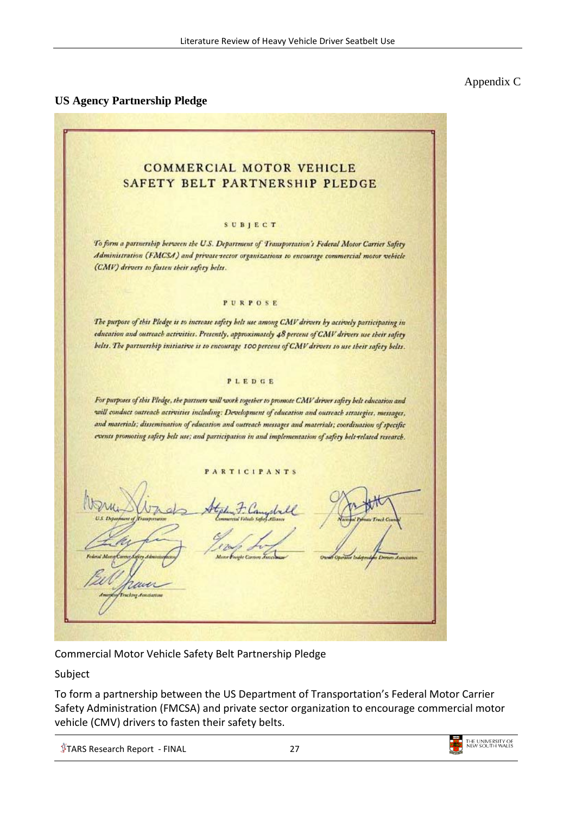## **US Agency Partnership Pledge**

## Appendix C

**COMMERCIAL MOTOR VEHICLE** SAFETY BELT PARTNERSHIP PLEDGE SUBJECT To form a partnership herween the U.S. Department of Transportation's Federal Motor Carrier Safety Administration (FMCSA) and private-sector organizations to encourage commercial motor vehicle (CMV) drivers to fasten their safety helts. PURPOSE The purpose of this Pledge is to increase safety helt use among CMV drivers by actively participating in education and outreach activities. Presently, approximately 48 percent of CMV drivers use their safety belts. The partnership initiative is to encourage 100 percent of CMV drivers to use their safety belts. PLEDGE For purposes of this Pledge, the partners will work together to promote CMV driver safery belt education and will conduct outreach activities including: Development of education and outreach strategies, messages, and materials; dissemination of education and outreach messages and materials; coordination of specific events promoting safety belt use; and participation in and implementation of safety belt related research. PARTICIPANTS dule

Commercial Motor Vehicle Safety Belt Partnership Pledge

Subject

To form a partnership between the US Department of Transportation's Federal Motor Carrier Safety Administration (FMCSA) and private sector organization to encourage commercial motor vehicle (CMV) drivers to fasten their safety belts.

 $\sqrt[4]{7}$ TARS Research Report - FINAL 27